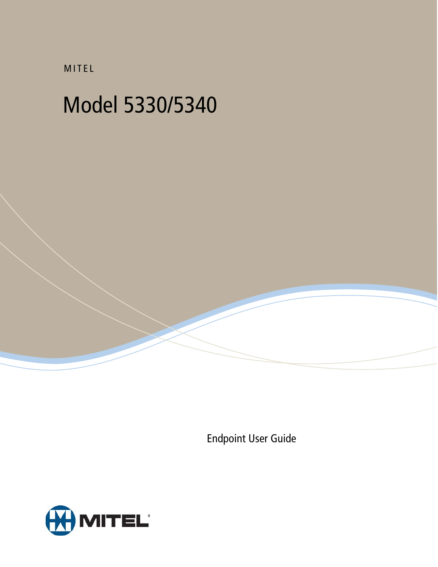MITEL

# Model 5330/5340

Endpoint User Guide

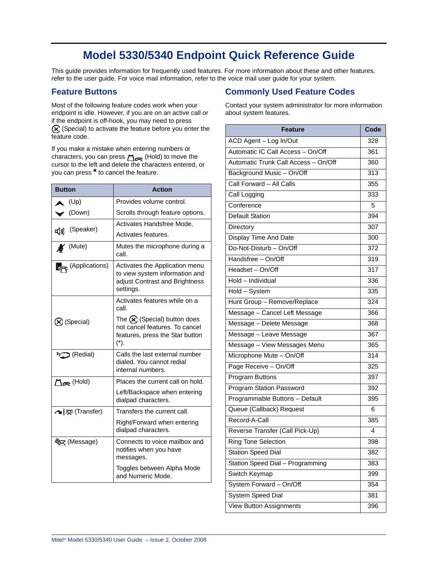## **Model 5330/5340 Endpoint Quick Reference Guide**

This guide provides information for frequently used features. For more information about these and other features, refer to the user guide. For voice mail information, refer to the voice mail user guide for your system.

### **Feature Buttons**

Most of the following feature codes work when your endpoint is idle. However, if you are on an active call or if the endpoint is off-hook, you may need to press  $\circledR$  (Special) to activate the feature before you enter the feature code.

If you make a mistake when entering numbers or characters, you can press  $\sum_{n=1}^{\infty}$  (Hold) to move the cursor to the left and delete the characters entered, or you can press **\*** to cancel the feature.

| <b>Button</b>             | <b>Action</b>                                                                                                                      |
|---------------------------|------------------------------------------------------------------------------------------------------------------------------------|
| (Up)                      | Provides volume control.                                                                                                           |
| $\sim$ (Down)             | Scrolls through feature options.                                                                                                   |
|                           | Activates Handsfree Mode.                                                                                                          |
| d) (Speaker)              | Activates features.                                                                                                                |
| $M$ (Mute)                | Mutes the microphone during a<br>call.                                                                                             |
| (Applications)            | Activates the Application menu<br>to view system information and<br>adjust Contrast and Brightness<br>settings.                    |
|                           | Activates features while on a<br>call.                                                                                             |
| (X) (Special)             | The $\left(\bigtimes\right)$ (Special) button does<br>not cancel features. To cancel<br>features, press the Star button<br>$(*)$ . |
| (Redial) رت <sup>23</sup> | Calls the last external number<br>dialed. You cannot redial<br>internal numbers.                                                   |
| $\Box$ m (Hold)           | Places the current call on hold.                                                                                                   |
|                           | Left/Backspace when entering<br>dialpad characters.                                                                                |
| ∧   5 (Transfer)          | Transfers the current call.                                                                                                        |
|                           | Right/Forward when entering<br>dialpad characters.                                                                                 |
| ষ্ট্য (Message)           | Connects to voice mailbox and<br>notifies when you have<br>messages.                                                               |
|                           | Toggles between Alpha Mode<br>and Numeric Mode.                                                                                    |

### **Commonly Used Feature Codes**

Contact your system administrator for more information about system features.

| <b>Feature</b>                       | Code |
|--------------------------------------|------|
| ACD Agent - Log In/Out               | 328  |
| Automatic IC Call Access - On/Off    | 361  |
| Automatic Trunk Call Access - On/Off | 360  |
| Background Music - On/Off            | 313  |
| Call Forward - All Calls             | 355  |
| Call Logging                         | 333  |
| Conference                           | 5    |
| <b>Default Station</b>               | 394  |
| Directory                            | 307  |
| Display Time And Date                | 300  |
| Do-Not-Disturb - On/Off              | 372  |
| Handsfree - On/Off                   | 319  |
| Headset - On/Off                     | 317  |
| Hold - Individual                    | 336  |
| Hold - System                        | 335  |
| Hunt Group - Remove/Replace          | 324  |
| Message - Cancel Left Message        | 366  |
| Message - Delete Message             | 368  |
| Message - Leave Message              | 367  |
| Message - View Messages Menu         | 365  |
| Microphone Mute - On/Off             | 314  |
| Page Receive - On/Off                | 325  |
| <b>Program Buttons</b>               | 397  |
| Program Station Password             | 392  |
| Programmable Buttons - Default       | 395  |
| Queue (Callback) Request             | 6    |
| Record-A-Call                        | 385  |
| Reverse Transfer (Call Pick-Up)      | 4    |
| <b>Ring Tone Selection</b>           | 398  |
| <b>Station Speed Dial</b>            | 382  |
| Station Speed Dial - Programming     | 383  |
| Switch Keymap                        | 399  |
| System Forward - On/Off              | 354  |
| System Speed Dial                    | 381  |
| <b>View Button Assignments</b>       | 396  |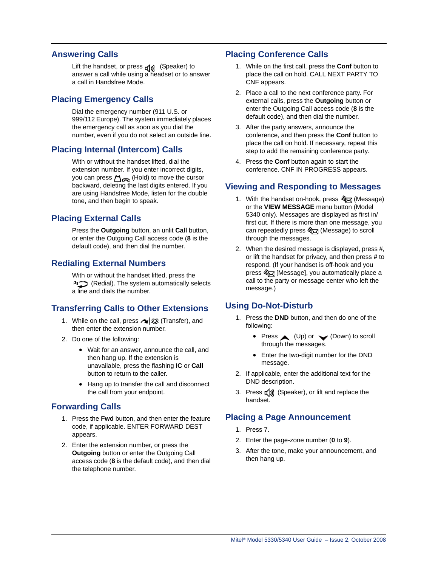### **Answering Calls**

Lift the handset, or press  $\Box$  (Speaker) to answer a call while using a headset or to answer a call in Handsfree Mode.

### **Placing Emergency Calls**

Dial the emergency number (911 U.S. or 999/112 Europe). The system immediately places the emergency call as soon as you dial the number, even if you do not select an outside line.

### **Placing Internal (Intercom) Calls**

With or without the handset lifted, dial the extension number. If you enter incorrect digits, you can press  $\sum_{\infty}$  (Hold) to move the cursor backward, deleting the last digits entered. If you are using Handsfree Mode, listen for the double tone, and then begin to speak.

### **Placing External Calls**

Press the **Outgoing** button, an unlit **Call** button, or enter the Outgoing Call access code (**8** is the default code), and then dial the number.

### **Redialing External Numbers**

With or without the handset lifted, press the (Redial). The system automatically selects a line and dials the number.

### **Transferring Calls to Other Extensions**

- 1. While on the call, press  $\sim$   $\sqrt{\Omega}$  (Transfer), and then enter the extension number.
- 2. Do one of the following:
	- Wait for an answer, announce the call, and then hang up. If the extension is unavailable, press the flashing **IC** or **Call** button to return to the caller.
	- Hang up to transfer the call and disconnect the call from your endpoint.

### **Forwarding Calls**

- 1. Press the **Fwd** button, and then enter the feature code, if applicable. ENTER FORWARD DEST appears.
- 2. Enter the extension number, or press the **Outgoing** button or enter the Outgoing Call access code (**8** is the default code), and then dial the telephone number.

### **Placing Conference Calls**

- 1. While on the first call, press the **Conf** button to place the call on hold. CALL NEXT PARTY TO CNF appears.
- 2. Place a call to the next conference party. For external calls, press the **Outgoing** button or enter the Outgoing Call access code (**8** is the default code), and then dial the number.
- 3. After the party answers, announce the conference, and then press the **Conf** button to place the call on hold. If necessary, repeat this step to add the remaining conference party.
- 4. Press the **Conf** button again to start the conference. CNF IN PROGRESS appears.

### **Viewing and Responding to Messages**

- 1. With the handset on-hook, press  $\frac{1}{\sqrt{2}}$  (Message) or the **VIEW MESSAGE** menu button (Model 5340 only). Messages are displayed as first in/ first out. If there is more than one message, you can repeatedly press  $\sqrt[3]{2}$  (Message) to scroll through the messages.
- 2. When the desired message is displayed, press #, or lift the handset for privacy, and then press **#** to respond. (If your handset is off-hook and you press  $\sqrt[8]{2}$  [Message], you automatically place a call to the party or message center who left the message.)

### **Using Do-Not-Disturb**

- 1. Press the **DND** button, and then do one of the following:
	- Press  $\triangle$  (Up) or  $\triangle$  (Down) to scroll through the messages.
	- Enter the two-digit number for the DND message.
- 2. If applicable*,* enter the additional text for the DND description.
- 3. Press  $\mathbf{I}(\mathbf{I})$  (Speaker), or lift and replace the handset.

### **Placing a Page Announcement**

- 1. Press 7.
- 2. Enter the page-zone number (**0** to **9**).
- 3. After the tone, make your announcement, and then hang up.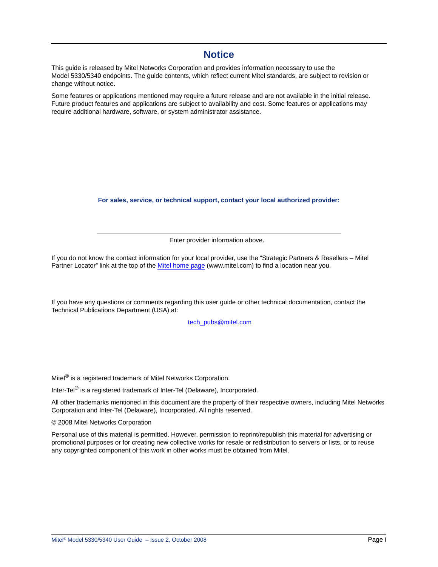### **Notice**

This guide is released by Mitel Networks Corporation and provides information necessary to use the Model 5330/5340 endpoints. The guide contents, which reflect current Mitel standards, are subject to revision or change without notice.

Some features or applications mentioned may require a future release and are not available in the initial release. Future product features and applications are subject to availability and cost. Some features or applications may require additional hardware, software, or system administrator assistance.

**For sales, service, or technical support, contact your local authorized provider:** 

Enter provider information above.

If you do not know the contact information for your local provider, use the "Strategic Partners & Resellers – Mitel Partner Locator" link at the top of the [Mitel home page](http://www.mitel.com) (www.mitel.com) to find a location near you.

If you have any questions or comments regarding this user guide or other technical documentation, contact the Technical Publications Department (USA) at:

 [tech\\_pubs@mitel.com](mailto:tech_pubs@mitel.com)

Mitel® is a registered trademark of Mitel Networks Corporation.

Inter-Tel® is a registered trademark of Inter-Tel (Delaware), Incorporated.

All other trademarks mentioned in this document are the property of their respective owners, including Mitel Networks Corporation and Inter-Tel (Delaware), Incorporated. All rights reserved.

© 2008 Mitel Networks Corporation

Personal use of this material is permitted. However, permission to reprint/republish this material for advertising or promotional purposes or for creating new collective works for resale or redistribution to servers or lists, or to reuse any copyrighted component of this work in other works must be obtained from Mitel.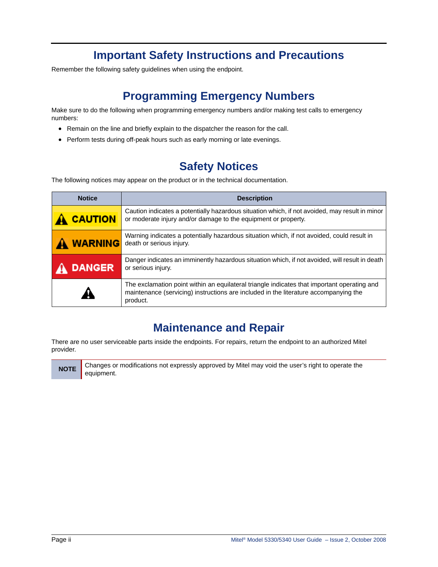## **Important Safety Instructions and Precautions**

Remember the following safety guidelines when using the endpoint.

## **Programming Emergency Numbers**

Make sure to do the following when programming emergency numbers and/or making test calls to emergency numbers:

- Remain on the line and briefly explain to the dispatcher the reason for the call.
- Perform tests during off-peak hours such as early morning or late evenings.

## **Safety Notices**

The following notices may appear on the product or in the technical documentation.

| <b>Notice</b><br><b>Description</b>                                                                                                                                                |                                                                                                                                                                                                 |
|------------------------------------------------------------------------------------------------------------------------------------------------------------------------------------|-------------------------------------------------------------------------------------------------------------------------------------------------------------------------------------------------|
| Caution indicates a potentially hazardous situation which, if not avoided, may result in minor<br><b>CAUTION</b><br>or moderate injury and/or damage to the equipment or property. |                                                                                                                                                                                                 |
| Warning indicates a potentially hazardous situation which, if not avoided, could result in<br><b>WARNING</b><br>death or serious injury.                                           |                                                                                                                                                                                                 |
| Danger indicates an imminently hazardous situation which, if not avoided, will result in death<br><b>DANGER</b><br>or serious injury.                                              |                                                                                                                                                                                                 |
|                                                                                                                                                                                    | The exclamation point within an equilateral triangle indicates that important operating and<br>maintenance (servicing) instructions are included in the literature accompanying the<br>product. |

## **Maintenance and Repair**

There are no user serviceable parts inside the endpoints. For repairs, return the endpoint to an authorized Mitel provider.

**NOTE** Changes or modifications not expressly approved by Mitel may void the user's right to operate the equipment.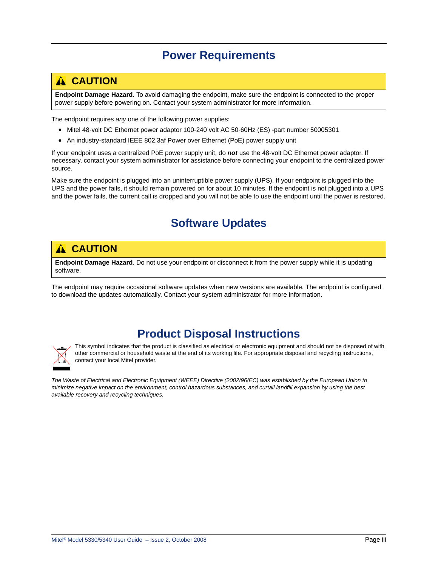## **Power Requirements**

## <span id="page-6-0"></span>**A** CAUTION

**Endpoint Damage Hazard**. To avoid damaging the endpoint, make sure the endpoint is connected to the proper power supply before powering on. Contact your system administrator for more information.

The endpoint requires *any* one of the following power supplies:

- Mitel 48-volt DC Ethernet power adaptor 100-240 volt AC 50-60Hz (ES) -part number 50005301
- An industry-standard IEEE 802.3af Power over Ethernet (PoE) power supply unit

If your endpoint uses a centralized PoE power supply unit, do *not* use the 48-volt DC Ethernet power adaptor. If necessary, contact your system administrator for assistance before connecting your endpoint to the centralized power source.

Make sure the endpoint is plugged into an uninterruptible power supply (UPS). If your endpoint is plugged into the UPS and the power fails, it should remain powered on for about 10 minutes. If the endpoint is not plugged into a UPS and the power fails, the current call is dropped and you will not be able to use the endpoint until the power is restored.

## **Software Updates**

## **A** CAUTION

**Endpoint Damage Hazard**. Do not use your endpoint or disconnect it from the power supply while it is updating software.

The endpoint may require occasional software updates when new versions are available. The endpoint is configured to download the updates automatically. Contact your system administrator for more information.

## **Product Disposal Instructions**



This symbol indicates that the product is classified as electrical or electronic equipment and should not be disposed of with other commercial or household waste at the end of its working life. For appropriate disposal and recycling instructions, contact your local Mitel provider.

*The Waste of Electrical and Electronic Equipment (WEEE) Directive (2002/96/EC) was established by the European Union to minimize negative impact on the environment, control hazardous substances, and curtail landfill expansion by using the best available recovery and recycling techniques.*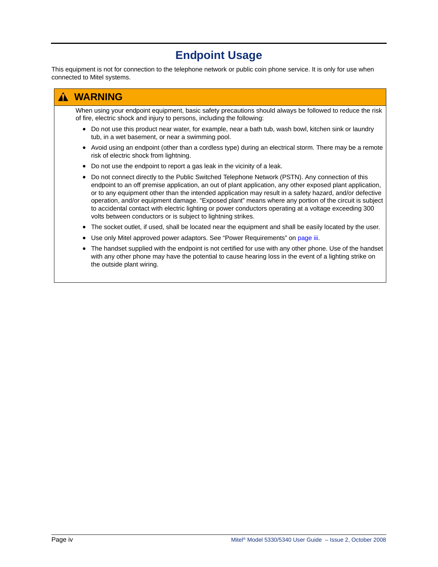## **Endpoint Usage**

This equipment is not for connection to the telephone network or public coin phone service. It is only for use when connected to Mitel systems.

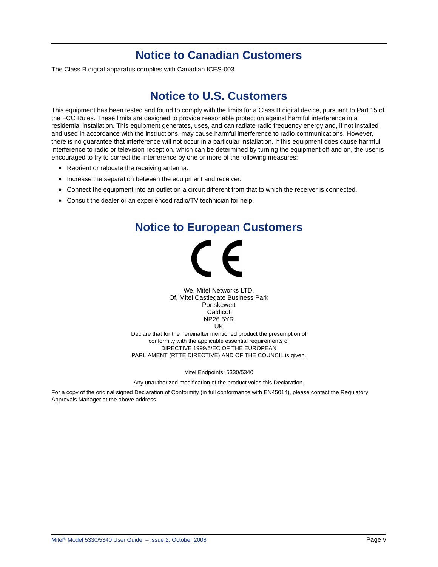## **Notice to Canadian Customers**

The Class B digital apparatus complies with Canadian ICES-003.

## **Notice to U.S. Customers**

This equipment has been tested and found to comply with the limits for a Class B digital device, pursuant to Part 15 of the FCC Rules. These limits are designed to provide reasonable protection against harmful interference in a residential installation. This equipment generates, uses, and can radiate radio frequency energy and, if not installed and used in accordance with the instructions, may cause harmful interference to radio communications. However, there is no guarantee that interference will not occur in a particular installation. If this equipment does cause harmful interference to radio or television reception, which can be determined by turning the equipment off and on, the user is encouraged to try to correct the interference by one or more of the following measures:

- Reorient or relocate the receiving antenna.
- Increase the separation between the equipment and receiver.
- Connect the equipment into an outlet on a circuit different from that to which the receiver is connected.
- Consult the dealer or an experienced radio/TV technician for help.

## **Notice to European Customers**



We, Mitel Networks LTD. Of, Mitel Castlegate Business Park **Portskewett** Caldicot NP26 5YR UK Declare that for the hereinafter mentioned product the presumption of

conformity with the applicable essential requirements of DIRECTIVE 1999/5/EC OF THE EUROPEAN PARLIAMENT (RTTE DIRECTIVE) AND OF THE COUNCIL is given.

Mitel Endpoints: 5330/5340

Any unauthorized modification of the product voids this Declaration.

For a copy of the original signed Declaration of Conformity (in full conformance with EN45014), please contact the Regulatory Approvals Manager at the above address.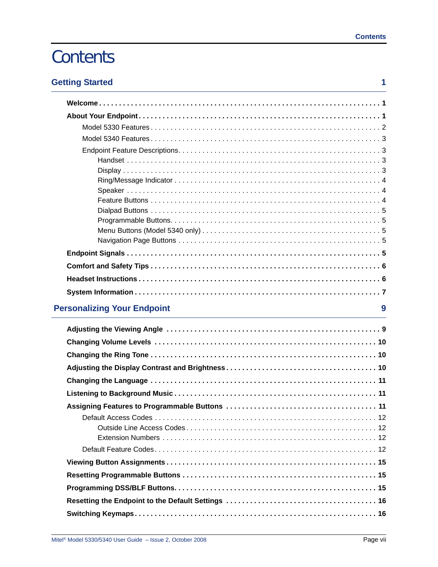# **Contents**

| <b>Getting Started</b> |  |  |
|------------------------|--|--|
|                        |  |  |

| <b>Personalizing Your Endpoint</b><br>9 |  |
|-----------------------------------------|--|
|                                         |  |
|                                         |  |
|                                         |  |
|                                         |  |
|                                         |  |
|                                         |  |
|                                         |  |
|                                         |  |
|                                         |  |
|                                         |  |
|                                         |  |
|                                         |  |
|                                         |  |
|                                         |  |
|                                         |  |
|                                         |  |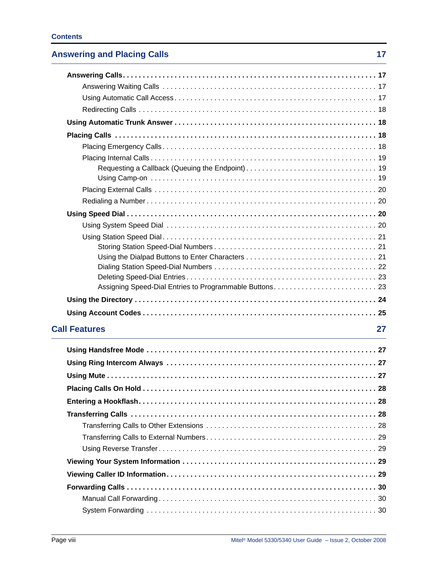### **Contents**

## **[Answering and Placing Calls 17](#page-30-0) and 17 and 17 and 17 and 17 and 17 and 17 and 17 and 17 and 17 and 17 and 17 and 17 and 17 and 17 and 17 and 17 and 17 and 17 and 17 and 17 and 17 and 17 and 17 and 17 and 17 and 17 and 17 a**

| <b>Call Features</b> | 27 |
|----------------------|----|
|                      |    |
|                      |    |
|                      |    |
|                      |    |
|                      | 28 |
|                      |    |
|                      |    |
|                      |    |
|                      |    |
|                      |    |
|                      |    |
|                      |    |
|                      |    |
|                      |    |
|                      |    |
|                      |    |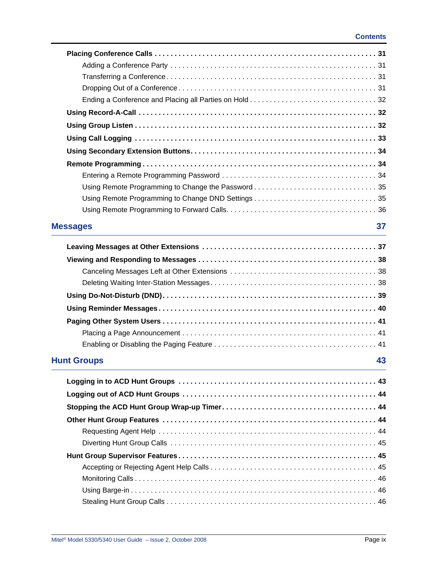| <b>Messages</b><br><u> 1989 - Johann Stoff, deutscher Stoffen und der Stoffen und der Stoffen und der Stoffen und der Stoffen und der</u> | 37 |
|-------------------------------------------------------------------------------------------------------------------------------------------|----|
|                                                                                                                                           |    |
|                                                                                                                                           |    |
|                                                                                                                                           |    |
|                                                                                                                                           |    |
|                                                                                                                                           |    |
|                                                                                                                                           |    |
|                                                                                                                                           |    |
|                                                                                                                                           |    |
|                                                                                                                                           |    |
| <b>Hunt Groups</b>                                                                                                                        | 43 |
|                                                                                                                                           |    |
|                                                                                                                                           |    |
|                                                                                                                                           |    |
|                                                                                                                                           |    |
|                                                                                                                                           |    |
|                                                                                                                                           |    |
|                                                                                                                                           |    |
|                                                                                                                                           |    |
|                                                                                                                                           |    |
|                                                                                                                                           |    |
|                                                                                                                                           |    |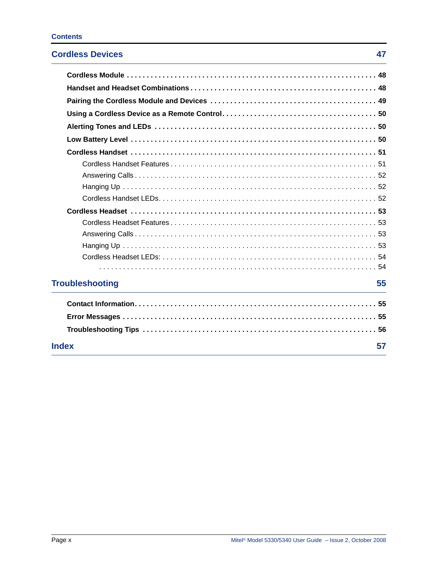### **Cordless Devices** 47

| <b>Troubleshooting</b> | 55 |
|------------------------|----|
|                        |    |
|                        |    |
|                        |    |
| <b>Index</b>           | 57 |
|                        |    |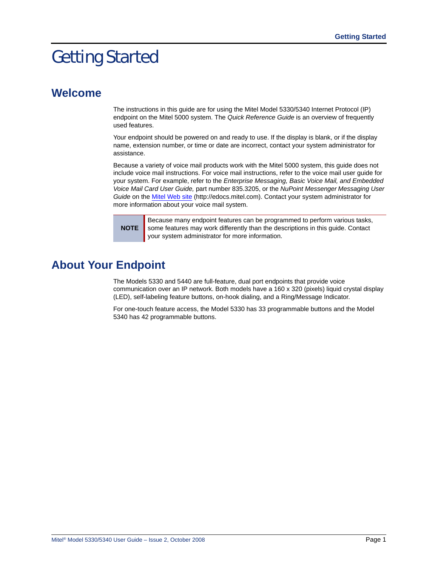# <span id="page-14-0"></span>Getting Started

## <span id="page-14-1"></span>**Welcome**

The instructions in this guide are for using the Mitel Model 5330/5340 Internet Protocol (IP) endpoint on the Mitel 5000 system. The *Quick Reference Guide* is an overview of frequently used features.

Your endpoint should be powered on and ready to use. If the display is blank, or if the display name, extension number, or time or date are incorrect, contact your system administrator for assistance.

Because a variety of voice mail products work with the Mitel 5000 system, this guide does not include voice mail instructions. For voice mail instructions, refer to the voice mail user guide for your system. For example, refer to the *Enterprise Messaging, Basic Voice Mail, and Embedded Voice Mail Card User Guide,* part number 835.3205, or the *NuPoint Messenger Messaging User Guide* on the [Mitel Web site](http://edocs.mitel.com) (http://edocs.mitel.com). Contact your system administrator for more information about your voice mail system.

**NOTE**

Because many endpoint features can be programmed to perform various tasks, some features may work differently than the descriptions in this guide. Contact your system administrator for more information.

## <span id="page-14-2"></span>**About Your Endpoint**

The Models 5330 and 5440 are full-feature, dual port endpoints that provide voice communication over an IP network. Both models have a 160 x 320 (pixels) liquid crystal display (LED), self-labeling feature buttons, on-hook dialing, and a Ring/Message Indicator.

For one-touch feature access, the Model 5330 has 33 programmable buttons and the Model 5340 has 42 programmable buttons.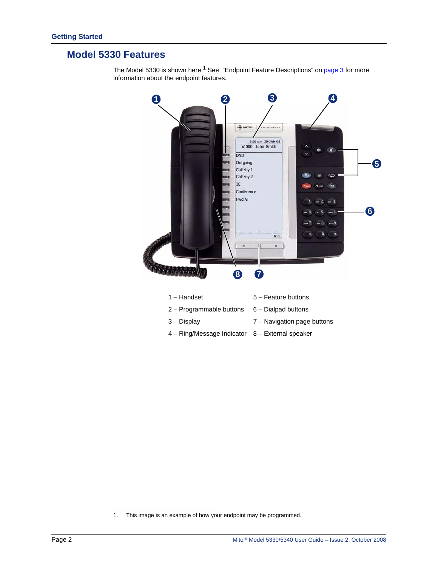## <span id="page-15-0"></span>**Model 5330 Features**

information about the endpoint features.

**1 2 3 4 HIMTEL**  $P$  Phons 3:01 pm 30-JAN-08<br>x1000 John Smith  $\alpha$ DND Outgoing **5** Call Key 1 Call Key 2  $\circledcirc$ **C**<sup>h</sup>  ${\rm IC}$  $\overline{\mathfrak{m}}$ Conference Fwd All  $ac$  2  $(a0)$  3 **6**  $-6$  $e_{\rm rms}$ ٠ o  $BOD$  $\ddot{\phantom{1}}$ **8 7**1 – Handset 5 – Feature buttons

The Model 5330 is shown here.<sup>1</sup> See ["Endpoint Feature Descriptions" on page 3](#page-16-1) for more

 $2 -$  Programmable buttons  $6 -$  Dialpad buttons 3 – Display 7 – Navigation page buttons 4 – Ring/Message Indicator 8 – External speaker

1. This image is an example of how your endpoint may be programmed.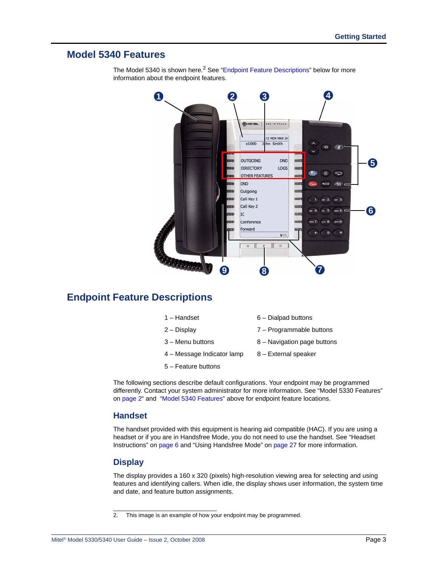### <span id="page-16-0"></span>**Model 5340 Features**



The Model 5340 is shown here.<sup>2</sup> See "[Endpoint Feature Descriptions"](#page-16-1) below for more information about the endpoint features.

### <span id="page-16-1"></span>**Endpoint Feature Descriptions**

| 1 – Handset | 6 – Dialpad buttons |
|-------------|---------------------|
|-------------|---------------------|

- 
- 
- 2 Display 7 Programmable buttons
- 3 Menu buttons 8 Navigation page buttons
- 4 Message Indicator lamp 8 External speaker
- 5 Feature buttons
- 
- The following sections describe default configurations. Your endpoint may be programmed differently. Contact your system administrator for more information. See ["Model 5330 Features"](#page-15-0)  [on page 2](#page-15-0)" and "[Model 5340 Features"](#page-16-0) above for endpoint feature locations.

### <span id="page-16-2"></span>**Handset**

The handset provided with this equipment is hearing aid compatible (HAC). If you are using a headset or if you are in Handsfree Mode, you do not need to use the handset. See ["Headset](#page-19-1)  [Instructions" on page 6](#page-19-1) and ["Using Handsfree Mode" on page 27](#page-40-4) for more information.

### <span id="page-16-3"></span>**Display**

The display provides a 160 x 320 (pixels) high-resolution viewing area for selecting and using features and identifying callers. When idle, the display shows user information, the system time and date, and feature button assignments.

<sup>2.</sup> This image is an example of how your endpoint may be programmed.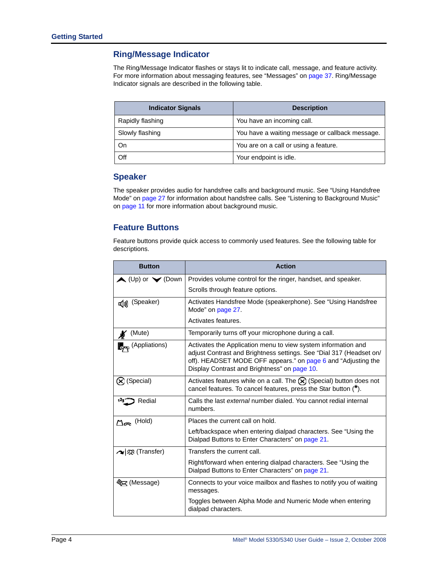### <span id="page-17-0"></span>**Ring/Message Indicator**

The Ring/Message Indicator flashes or stays lit to indicate call, message, and feature activity. For more information about messaging features, see ["Messages" on page 37.](#page-50-2) Ring/Message Indicator signals are described in the following table.

| <b>Indicator Signals</b> | <b>Description</b>                              |
|--------------------------|-------------------------------------------------|
| Rapidly flashing         | You have an incoming call.                      |
| Slowly flashing          | You have a waiting message or callback message. |
| On                       | You are on a call or using a feature.           |
| Off                      | Your endpoint is idle.                          |

### <span id="page-17-1"></span>**Speaker**

The speaker provides audio for handsfree calls and background music. See ["Using Handsfree](#page-40-4)  [Mode" on page 27](#page-40-4) for information about handsfree calls. See ["Listening to Background Music"](#page-24-3)  [on page 11](#page-24-3) for more information about background music.

### <span id="page-17-2"></span>**Feature Buttons**

Feature buttons provide quick access to commonly used features. See the following table for descriptions.

| <b>Button</b>                       | <b>Action</b>                                                                                                                                                                                                                                         |  |
|-------------------------------------|-------------------------------------------------------------------------------------------------------------------------------------------------------------------------------------------------------------------------------------------------------|--|
| $\bigwedge$ (Up) or $\bigvee$ (Down | Provides volume control for the ringer, handset, and speaker.                                                                                                                                                                                         |  |
|                                     | Scrolls through feature options.                                                                                                                                                                                                                      |  |
| d) (Speaker)                        | Activates Handsfree Mode (speakerphone). See "Using Handsfree<br>Mode" on page 27.                                                                                                                                                                    |  |
|                                     | Activates features.                                                                                                                                                                                                                                   |  |
| (Mute)                              | Temporarily turns off your microphone during a call.                                                                                                                                                                                                  |  |
| (Appliations)                       | Activates the Application menu to view system information and<br>adjust Contrast and Brightness settings. See "Dial 317 (Headset on/<br>off). HEADSET MODE OFF appears." on page 6 and "Adjusting the<br>Display Contrast and Brightness" on page 10. |  |
| (X) (Special)                       | Activates features while on a call. The $\chi$ (Special) button does not<br>cancel features. To cancel features, press the Star button $(*)$ .                                                                                                        |  |
| Redial                              | Calls the last external number dialed. You cannot redial internal<br>numbers.                                                                                                                                                                         |  |
| $\Box$ m (Hold)                     | Places the current call on hold.                                                                                                                                                                                                                      |  |
|                                     | Left/backspace when entering dialpad characters. See "Using the<br>Dialpad Buttons to Enter Characters" on page 21.                                                                                                                                   |  |
| ∧   双 (Transfer)                    | Transfers the current call.                                                                                                                                                                                                                           |  |
|                                     | Right/forward when entering dialpad characters. See "Using the<br>Dialpad Buttons to Enter Characters" on page 21.                                                                                                                                    |  |
| <b>ষ্ট্য</b> ে (Message)            | Connects to your voice mailbox and flashes to notify you of waiting<br>messages.                                                                                                                                                                      |  |
|                                     | Toggles between Alpha Mode and Numeric Mode when entering<br>dialpad characters.                                                                                                                                                                      |  |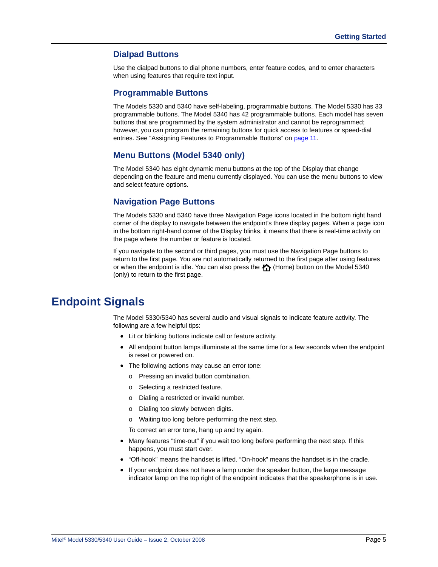### <span id="page-18-0"></span>**Dialpad Buttons**

Use the dialpad buttons to dial phone numbers, enter feature codes, and to enter characters when using features that require text input.

#### <span id="page-18-5"></span><span id="page-18-1"></span>**Programmable Buttons**

The Models 5330 and 5340 have self-labeling, programmable buttons. The Model 5330 has 33 programmable buttons. The Model 5340 has 42 programmable buttons. Each model has seven buttons that are programmed by the system administrator and cannot be reprogrammed; however, you can program the remaining buttons for quick access to features or speed-dial entries. See ["Assigning Features to Programmable Buttons" on page 11.](#page-24-4)

### <span id="page-18-2"></span>**Menu Buttons (Model 5340 only)**

The Model 5340 has eight dynamic menu buttons at the top of the Display that change depending on the feature and menu currently displayed. You can use the menu buttons to view and select feature options.

#### <span id="page-18-3"></span>**Navigation Page Buttons**

The Models 5330 and 5340 have three Navigation Page icons located in the bottom right hand corner of the display to navigate between the endpoint's three display pages. When a page icon in the bottom right-hand corner of the Display blinks, it means that there is real-time activity on the page where the number or feature is located.

If you navigate to the second or third pages, you must use the Navigation Page buttons to return to the first page. You are not automatically returned to the first page after using features or when the endpoint is idle. You can also press the  $\bigoplus$  (Home) button on the Model 5340 (only) to return to the first page.

## <span id="page-18-4"></span>**Endpoint Signals**

The Model 5330/5340 has several audio and visual signals to indicate feature activity. The following are a few helpful tips:

- Lit or blinking buttons indicate call or feature activity.
- All endpoint button lamps illuminate at the same time for a few seconds when the endpoint is reset or powered on.
- The following actions may cause an error tone:
	- o Pressing an invalid button combination.
	- o Selecting a restricted feature.
	- o Dialing a restricted or invalid number.
	- o Dialing too slowly between digits.
	- o Waiting too long before performing the next step.

To correct an error tone, hang up and try again.

- Many features "time-out" if you wait too long before performing the next step. If this happens, you must start over.
- "Off-hook" means the handset is lifted. "On-hook" means the handset is in the cradle.
- If your endpoint does not have a lamp under the speaker button, the large message indicator lamp on the top right of the endpoint indicates that the speakerphone is in use.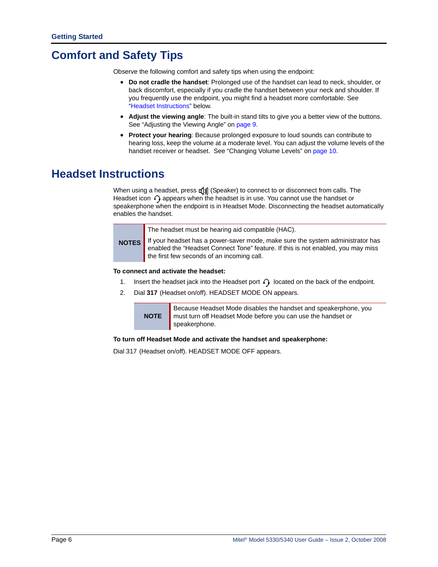## <span id="page-19-0"></span>**Comfort and Safety Tips**

Observe the following comfort and safety tips when using the endpoint:

- **Do not cradle the handset**: Prolonged use of the handset can lead to neck, shoulder, or back discomfort, especially if you cradle the handset between your neck and shoulder. If you frequently use the endpoint, you might find a headset more comfortable. See "[Headset Instructions"](#page-19-1) below.
- **Adjust the viewing angle**: The built-in stand tilts to give you a better view of the buttons. See ["Adjusting the Viewing Angle" on page 9](#page-22-2).
- **Protect your hearing**: Because prolonged exposure to loud sounds can contribute to hearing loss, keep the volume at a moderate level. You can adjust the volume levels of the handset receiver or headset. See ["Changing Volume Levels" on page 10](#page-23-4).

## <span id="page-19-3"></span><span id="page-19-1"></span>**Headset Instructions**

When using a headset, press  $\mathbf{f}(\mathbf{y})$  (Speaker) to connect to or disconnect from calls. The Headset icon  $\bigcap$  appears when the headset is in use. You cannot use the handset or speakerphone when the endpoint is in Headset Mode. Disconnecting the headset automatically enables the handset.

The headset must be hearing aid compatible (HAC).

**NOTES** If your headset has a power-saver mode, make sure the system administrator has enabled the "Headset Connect Tone" feature. If this is not enabled, you may miss the first few seconds of an incoming call.

#### **To connect and activate the headset:**

- 1. Insert the headset jack into the Headset port  $\bigcap$  located on the back of the endpoint.
- 2. Dial **317** (Headset on/off). HEADSET MODE ON appears.



**To turn off Headset Mode and activate the handset and speakerphone:**

<span id="page-19-2"></span>Dial 317 (Headset on/off). HEADSET MODE OFF appears.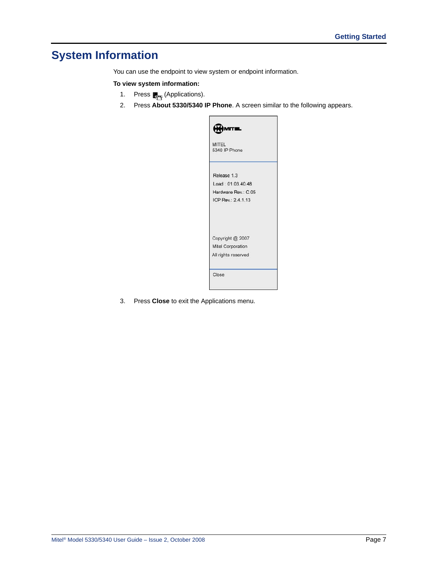## <span id="page-20-0"></span>**System Information**

You can use the endpoint to view system or endpoint information.

#### **To view system information:**

- 1. Press <sub>(Applications)</sub>.
- 2. Press **About 5330/5340 IP Phone**. A screen similar to the following appears.

| M<br>п<br>п                   |
|-------------------------------|
| <b>MITEL</b><br>5340 IP Phone |
| Release 1.3                   |
| Load: 01.03.40.48             |
| Hardware Rev.: C.05           |
| ICP Rev.: 2.4.1.13            |
| Copyright @ 2007              |
| Mitel Corporation             |
| All rights reserved           |
| Close                         |
|                               |

3. Press **Close** to exit the Applications menu.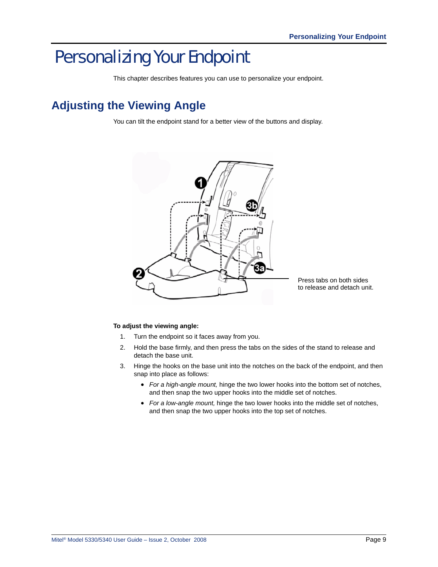# <span id="page-22-0"></span>Personalizing Your Endpoint

This chapter describes features you can use to personalize your endpoint.

## <span id="page-22-2"></span><span id="page-22-1"></span>**Adjusting the Viewing Angle**

You can tilt the endpoint stand for a better view of the buttons and display.



#### **To adjust the viewing angle:**

- 1. Turn the endpoint so it faces away from you.
- 2. Hold the base firmly, and then press the tabs on the sides of the stand to release and detach the base unit.
- 3. Hinge the hooks on the base unit into the notches on the back of the endpoint, and then snap into place as follows:
	- *For a high-angle mount,* hinge the two lower hooks into the bottom set of notches, and then snap the two upper hooks into the middle set of notches.
	- *For a low-angle mount,* hinge the two lower hooks into the middle set of notches, and then snap the two upper hooks into the top set of notches.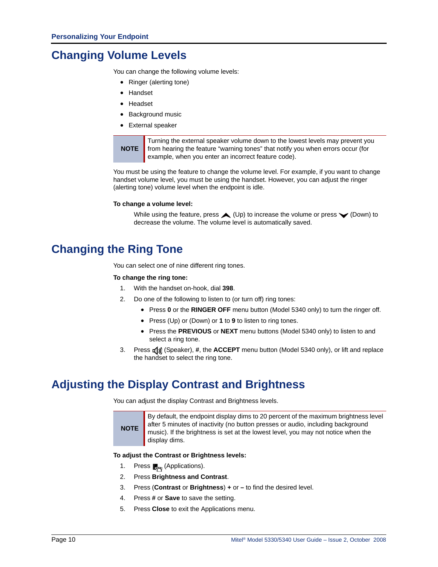## <span id="page-23-4"></span><span id="page-23-0"></span>**Changing Volume Levels**

You can change the following volume levels:

- Ringer (alerting tone)
- Handset
- Headset
- Background music
- External speaker

**NOTE** Turning the external speaker volume down to the lowest levels may prevent you from hearing the feature "warning tones" that notify you when errors occur (for example, when you enter an incorrect feature code).

You must be using the feature to change the volume level. For example, if you want to change handset volume level, you must be using the handset. However, you can adjust the ringer (alerting tone) volume level when the endpoint is idle.

#### **To change a volume level:**

While using the feature, press  $\triangle$  (Up) to increase the volume or press  $\blacktriangledown$  (Down) to decrease the volume. The volume level is automatically saved.

## <span id="page-23-1"></span>**Changing the Ring Tone**

You can select one of nine different ring tones.

#### **To change the ring tone:**

- 1. With the handset on-hook, dial **398**.
- 2. Do one of the following to listen to (or turn off) ring tones:
	- Press **0** or the **RINGER OFF** menu button (Model 5340 only) to turn the ringer off.
	- Press (Up) or (Down) or **1** to **9** to listen to ring tones.
	- Press the **PREVIOUS** or **NEXT** menu buttons (Model 5340 only) to listen to and select a ring tone.
- 3. Press  $\mathbf{I}(\mathbf{y})$  (Speaker), #, the **ACCEPT** menu button (Model 5340 only), or lift and replace the handset to select the ring tone.

## <span id="page-23-3"></span><span id="page-23-2"></span>**Adjusting the Display Contrast and Brightness**

You can adjust the display Contrast and Brightness levels.

**NOTE** By default, the endpoint display dims to 20 percent of the maximum brightness level after 5 minutes of inactivity (no button presses or audio, including background music). If the brightness is set at the lowest level, you may not notice when the display dims.

#### **To adjust the Contrast or Brightness levels:**

- 1. Press <sub>c</sub><sub>p</sub> (Applications).
- 2. Press **Brightness and Contrast**.
- 3. Press (**Contrast** or **Brightness**) **+** or **–** to find the desired level.
- 4. Press **#** or **Save** to save the setting.
- 5. Press **Close** to exit the Applications menu.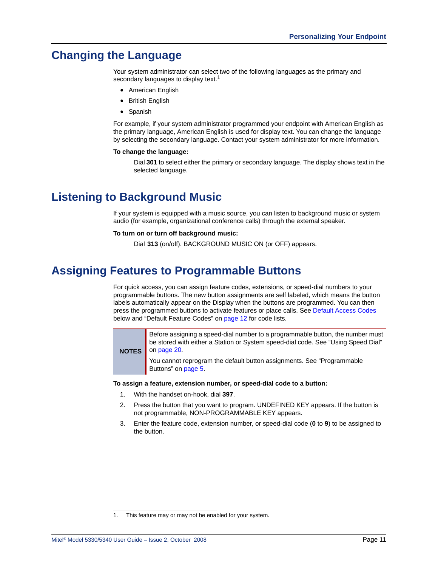## <span id="page-24-0"></span>**Changing the Language**

Your system administrator can select two of the following languages as the primary and secondary languages to display text.<sup>1</sup>

- American English
- British English
- Spanish

For example, if your system administrator programmed your endpoint with American English as the primary language, American English is used for display text. You can change the language by selecting the secondary language. Contact your system administrator for more information.

#### **To change the language:**

Dial **301** to select either the primary or secondary language. The display shows text in the selected language.

## <span id="page-24-3"></span><span id="page-24-1"></span>**Listening to Background Music**

If your system is equipped with a music source, you can listen to background music or system audio (for example, organizational conference calls) through the external speaker.

#### **To turn on or turn off background music:**

Dial **313** (on/off). BACKGROUND MUSIC ON (or OFF) appears.

## <span id="page-24-4"></span><span id="page-24-2"></span>**Assigning Features to Programmable Buttons**

For quick access, you can assign feature codes, extensions, or speed-dial numbers to your programmable buttons. The new button assignments are self labeled, which means the button labels automatically appear on the Display when the buttons are programmed. You can then press the programmed buttons to activate features or place calls. See [Default Access Codes](#page-25-0)  below and ["Default Feature Codes" on page 12](#page-25-3) for code lists.

**NOTES** Before assigning a speed-dial number to a programmable button, the number must be stored with either a Station or System speed-dial code. See ["Using Speed Dial"](#page-33-4)  [on page 20.](#page-33-4)

> You cannot reprogram the default button assignments. See ["Programmable](#page-18-5)  [Buttons" on page 5.](#page-18-5)

#### **To assign a feature, extension number, or speed-dial code to a button:**

- 1. With the handset on-hook, dial **397**.
- 2. Press the button that you want to program. UNDEFINED KEY appears. If the button is not programmable, NON-PROGRAMMABLE KEY appears.
- 3. Enter the feature code, extension number, or speed-dial code (**0** to **9**) to be assigned to the button.

<sup>1.</sup> This feature may or may not be enabled for your system.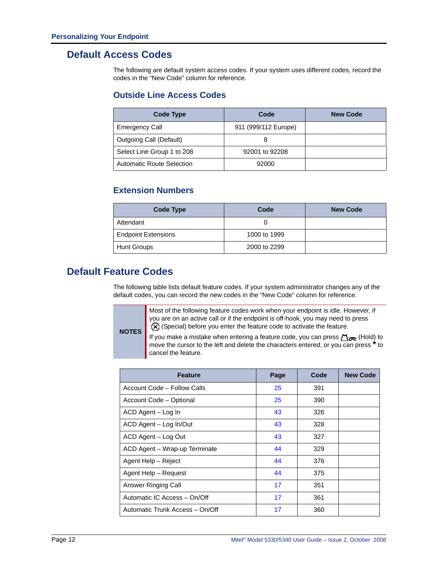### <span id="page-25-0"></span>**Default Access Codes**

The following are default system access codes. If your system uses different codes, record the codes in the "New Code" column for reference.

### <span id="page-25-1"></span>**Outside Line Access Codes**

| <b>Code Type</b>                 | Code                 | <b>New Code</b> |
|----------------------------------|----------------------|-----------------|
| <b>Emergency Call</b>            | 911 (999/112 Europe) |                 |
| Outgoing Call (Default)          |                      |                 |
| Select Line Group 1 to 208       | 92001 to 92208       |                 |
| <b>Automatic Route Selection</b> | 92000                |                 |

### <span id="page-25-2"></span>**Extension Numbers**

| Code Type                  | Code         | <b>New Code</b> |
|----------------------------|--------------|-----------------|
| Attendant                  |              |                 |
| <b>Endpoint Extensions</b> | 1000 to 1999 |                 |
| <b>Hunt Groups</b>         | 2000 to 2299 |                 |

### <span id="page-25-3"></span>**Default Feature Codes**

**NOTES**

The following table lists default feature codes. If your system administrator changes any of the default codes, you can record the new codes in the "New Code" column for reference.

> Most of the following feature codes work when your endpoint is idle. However, if you are on an active call or if the endpoint is off-hook, you may need to press (Special) before you enter the feature code to activate the feature.

If you make a mistake when entering a feature code, you can press  $\bigcap_{\Omega}$  (Hold) to move the cursor to the left and delete the characters entered, or you can press **\*** to cancel the feature.

| <b>Feature</b>                  | Page | Code | <b>New Code</b> |
|---------------------------------|------|------|-----------------|
| Account Code - Follow Calls     | 25   | 391  |                 |
| Account Code - Optional         | 25   | 390  |                 |
| ACD Agent - Log In              | 43   | 326  |                 |
| ACD Agent - Log In/Out          | 43   | 328  |                 |
| ACD Agent - Log Out             | 43   | 327  |                 |
| ACD Agent - Wrap-up Terminate   | 44   | 329  |                 |
| Agent Help - Reject             | 44   | 376  |                 |
| Agent Help - Request            | 44   | 375  |                 |
| Answer Ringing Call             | 17   | 351  |                 |
| Automatic IC Access - On/Off    | 17   | 361  |                 |
| Automatic Trunk Access - On/Off | 17   | 360  |                 |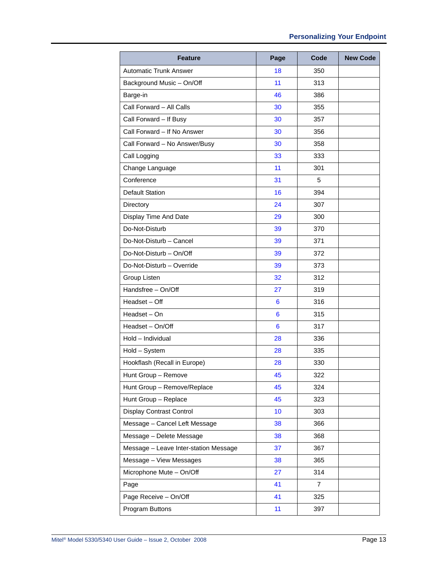| <b>Feature</b>                        | Page | Code | <b>New Code</b> |
|---------------------------------------|------|------|-----------------|
| <b>Automatic Trunk Answer</b>         | 18   | 350  |                 |
| Background Music - On/Off             | 11   | 313  |                 |
| Barge-in                              | 46   | 386  |                 |
| Call Forward - All Calls              | 30   | 355  |                 |
| Call Forward - If Busy                | 30   | 357  |                 |
| Call Forward - If No Answer           | 30   | 356  |                 |
| Call Forward - No Answer/Busy         | 30   | 358  |                 |
| Call Logging                          | 33   | 333  |                 |
| Change Language                       | 11   | 301  |                 |
| Conference                            | 31   | 5    |                 |
| <b>Default Station</b>                | 16   | 394  |                 |
| Directory                             | 24   | 307  |                 |
| Display Time And Date                 | 29   | 300  |                 |
| Do-Not-Disturb                        | 39   | 370  |                 |
| Do-Not-Disturb - Cancel               | 39   | 371  |                 |
| Do-Not-Disturb - On/Off               | 39   | 372  |                 |
| Do-Not-Disturb - Override             | 39   | 373  |                 |
| Group Listen                          | 32   | 312  |                 |
| Handsfree - On/Off                    | 27   | 319  |                 |
| Headset – Off                         | 6    | 316  |                 |
| Headset - On                          | 6    | 315  |                 |
| Headset - On/Off                      | 6    | 317  |                 |
| Hold - Individual                     | 28   | 336  |                 |
| Hold - System                         | 28   | 335  |                 |
| Hookflash (Recall in Europe)          | 28   | 330  |                 |
| Hunt Group - Remove                   | 45   | 322  |                 |
| Hunt Group - Remove/Replace           | 45   | 324  |                 |
| Hunt Group - Replace                  | 45   | 323  |                 |
| Display Contrast Control              | 10   | 303  |                 |
| Message - Cancel Left Message         | 38   | 366  |                 |
| Message - Delete Message              | 38   | 368  |                 |
| Message - Leave Inter-station Message | 37   | 367  |                 |
| Message - View Messages               | 38   | 365  |                 |
| Microphone Mute - On/Off              | 27   | 314  |                 |
| Page                                  | 41   | 7    |                 |
| Page Receive - On/Off                 | 41   | 325  |                 |
| Program Buttons                       | 11   | 397  |                 |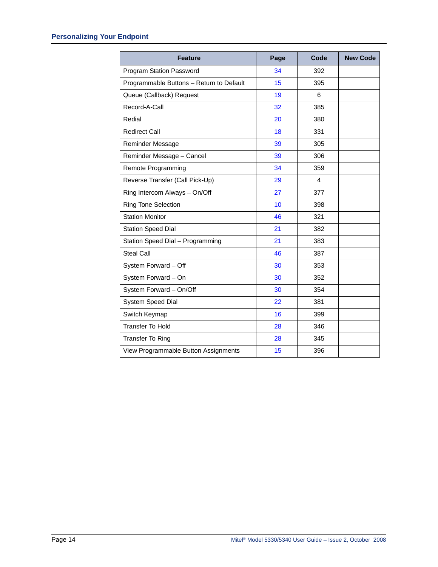| <b>Feature</b>                           | Page | Code | <b>New Code</b> |
|------------------------------------------|------|------|-----------------|
| Program Station Password                 | 34   | 392  |                 |
| Programmable Buttons - Return to Default | 15   | 395  |                 |
| Queue (Callback) Request                 | 19   | 6    |                 |
| Record-A-Call                            | 32   | 385  |                 |
| Redial                                   | 20   | 380  |                 |
| <b>Redirect Call</b>                     | 18   | 331  |                 |
| Reminder Message                         | 39   | 305  |                 |
| Reminder Message - Cancel                | 39   | 306  |                 |
| Remote Programming                       | 34   | 359  |                 |
| Reverse Transfer (Call Pick-Up)          | 29   | 4    |                 |
| Ring Intercom Always - On/Off            | 27   | 377  |                 |
| <b>Ring Tone Selection</b>               | 10   | 398  |                 |
| <b>Station Monitor</b>                   | 46   | 321  |                 |
| <b>Station Speed Dial</b>                | 21   | 382  |                 |
| Station Speed Dial - Programming         | 21   | 383  |                 |
| <b>Steal Call</b>                        | 46   | 387  |                 |
| System Forward - Off                     | 30   | 353  |                 |
| System Forward - On                      | 30   | 352  |                 |
| System Forward - On/Off                  | 30   | 354  |                 |
| System Speed Dial                        | 22   | 381  |                 |
| Switch Keymap                            | 16   | 399  |                 |
| <b>Transfer To Hold</b>                  | 28   | 346  |                 |
| <b>Transfer To Ring</b>                  | 28   | 345  |                 |
| View Programmable Button Assignments     | 15   | 396  |                 |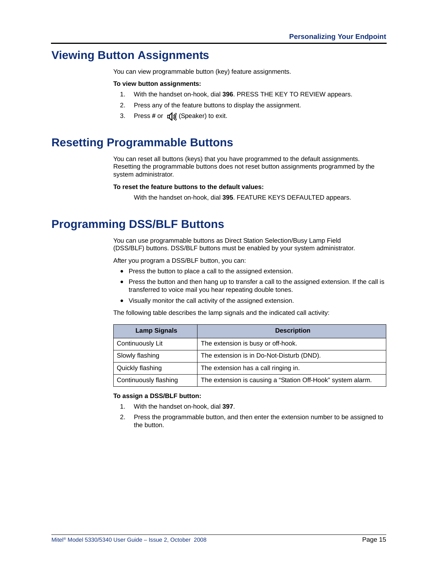## <span id="page-28-0"></span>**Viewing Button Assignments**

You can view programmable button (key) feature assignments.

#### **To view button assignments:**

- 1. With the handset on-hook, dial **396**. PRESS THE KEY TO REVIEW appears.
- 2. Press any of the feature buttons to display the assignment.
- 3. Press # or  $\pi(x)$  (Speaker) to exit.

## <span id="page-28-1"></span>**Resetting Programmable Buttons**

You can reset all buttons (keys) that you have programmed to the default assignments. Resetting the programmable buttons does not reset button assignments programmed by the system administrator.

#### **To reset the feature buttons to the default values:**

With the handset on-hook, dial **395**. FEATURE KEYS DEFAULTED appears.

## <span id="page-28-2"></span>**Programming DSS/BLF Buttons**

You can use programmable buttons as Direct Station Selection/Busy Lamp Field (DSS/BLF) buttons. DSS/BLF buttons must be enabled by your system administrator.

After you program a DSS/BLF button, you can:

- Press the button to place a call to the assigned extension.
- Press the button and then hang up to transfer a call to the assigned extension. If the call is transferred to voice mail you hear repeating double tones.
- Visually monitor the call activity of the assigned extension.

The following table describes the lamp signals and the indicated call activity:

| <b>Lamp Signals</b>   | <b>Description</b>                                          |
|-----------------------|-------------------------------------------------------------|
| Continuously Lit      | The extension is busy or off-hook.                          |
| Slowly flashing       | The extension is in Do-Not-Disturb (DND).                   |
| Quickly flashing      | The extension has a call ringing in.                        |
| Continuously flashing | The extension is causing a "Station Off-Hook" system alarm. |

#### **To assign a DSS/BLF button:**

- 1. With the handset on-hook, dial **397**.
- 2. Press the programmable button, and then enter the extension number to be assigned to the button.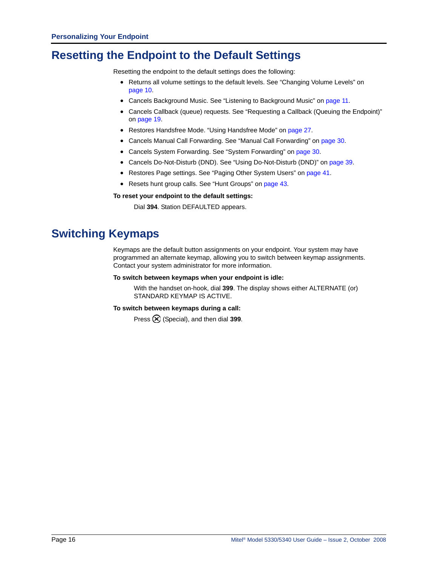## <span id="page-29-0"></span>**Resetting the Endpoint to the Default Settings**

Resetting the endpoint to the default settings does the following:

- Returns all volume settings to the default levels. See ["Changing Volume Levels" on](#page-23-0)  [page 10](#page-23-0).
- Cancels Background Music. See ["Listening to Background Music" on page 11](#page-24-1).
- Cancels Callback (queue) requests. See ["Requesting a Callback \(Queuing the Endpoint\)"](#page-32-3)  [on page 19.](#page-32-3)
- Restores Handsfree Mode. ["Using Handsfree Mode" on page 27](#page-40-4).
- Cancels Manual Call Forwarding. See ["Manual Call Forwarding" on page 30.](#page-43-4)
- Cancels System Forwarding. See ["System Forwarding" on page 30.](#page-43-3)
- Cancels Do-Not-Disturb (DND). See ["Using Do-Not-Disturb \(DND\)" on page 39](#page-52-1).
- Restores Page settings. See ["Paging Other System Users" on page 41](#page-54-3).
- Resets hunt group calls. See ["Hunt Groups" on page 43](#page-56-3).

#### **To reset your endpoint to the default settings:**

Dial **394**. Station DEFAULTED appears.

## <span id="page-29-1"></span>**Switching Keymaps**

Keymaps are the default button assignments on your endpoint. Your system may have programmed an alternate keymap, allowing you to switch between keymap assignments. Contact your system administrator for more information.

#### **To switch between keymaps when your endpoint is idle:**

With the handset on-hook, dial **399**. The display shows either ALTERNATE (or) STANDARD KEYMAP IS ACTIVE.

#### <span id="page-29-2"></span>**To switch between keymaps during a call:**

Press (Special), and then dial **399**.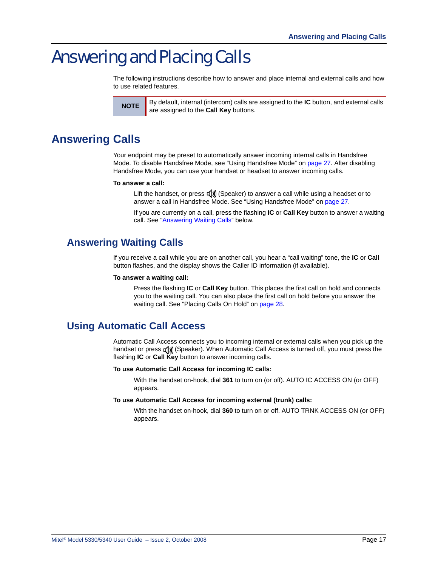# <span id="page-30-0"></span>Answering and Placing Calls

The following instructions describe how to answer and place internal and external calls and how to use related features.



**NOTE** By default, internal (intercom) calls are assigned to the **IC** button, and external calls are assigned to the **Call Key** buttons.

## <span id="page-30-4"></span><span id="page-30-1"></span>**Answering Calls**

Your endpoint may be preset to automatically answer incoming internal calls in Handsfree Mode. To disable Handsfree Mode, see ["Using Handsfree Mode" on page 27](#page-40-4). After disabling Handsfree Mode, you can use your handset or headset to answer incoming calls.

#### **To answer a call:**

Lift the handset, or press  $\left(\frac{1}{2}\right)$  (Speaker) to answer a call while using a headset or to answer a call in Handsfree Mode. See ["Using Handsfree Mode" on page 27.](#page-40-4)

If you are currently on a call, press the flashing **IC** or **Call Key** button to answer a waiting call. See ["Answering Waiting Calls"](#page-30-2) below.

### <span id="page-30-2"></span>**Answering Waiting Calls**

If you receive a call while you are on another call, you hear a "call waiting" tone, the **IC** or **Call** button flashes, and the display shows the Caller ID information (if available).

#### **To answer a waiting call:**

Press the flashing **IC** or **Call Key** button. This places the first call on hold and connects you to the waiting call. You can also place the first call on hold before you answer the waiting call. See ["Placing Calls On Hold" on page 28](#page-41-4).

## <span id="page-30-5"></span><span id="page-30-3"></span>**Using Automatic Call Access**

Automatic Call Access connects you to incoming internal or external calls when you pick up the handset or press  $\llbracket \text{M} \rrbracket$  (Speaker). When Automatic Call Access is turned off, you must press the flashing **IC** or **Call Key** button to answer incoming calls.

#### **To use Automatic Call Access for incoming IC calls:**

With the handset on-hook, dial **361** to turn on (or off). AUTO IC ACCESS ON (or OFF) appears.

#### **To use Automatic Call Access for incoming external (trunk) calls:**

With the handset on-hook, dial **360** to turn on or off. AUTO TRNK ACCESS ON (or OFF) appears.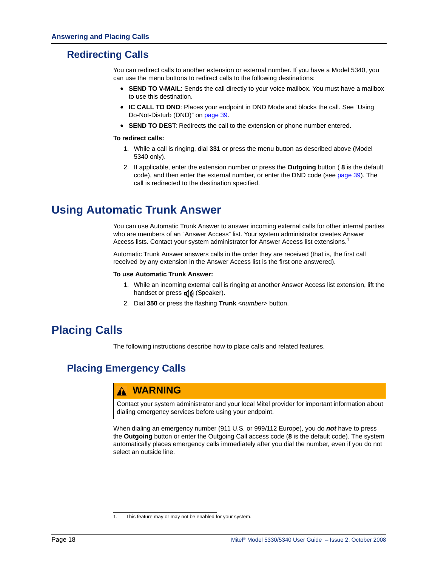## <span id="page-31-5"></span><span id="page-31-0"></span>**Redirecting Calls**

You can redirect calls to another extension or external number. If you have a Model 5340, you can use the menu buttons to redirect calls to the following destinations:

- **SEND TO V-MAIL**: Sends the call directly to your voice mailbox. You must have a mailbox to use this destination.
- **IC CALL TO DND**: Places your endpoint in DND Mode and blocks the call. See ["Using](#page-52-1)  [Do-Not-Disturb \(DND\)" on page 39](#page-52-1).
- **SEND TO DEST**: Redirects the call to the extension or phone number entered.

#### **To redirect calls:**

- 1. While a call is ringing, dial **331** or press the menu button as described above (Model 5340 only).
- 2. If applicable, enter the extension number or press the **Outgoing** button ( **8** is the default code), and then enter the external number, or enter the DND code (see [page 39](#page-52-1)). The call is redirected to the destination specified.

## <span id="page-31-4"></span><span id="page-31-1"></span>**Using Automatic Trunk Answer**

You can use Automatic Trunk Answer to answer incoming external calls for other internal parties who are members of an "Answer Access" list. Your system administrator creates Answer Access lists. Contact your system administrator for Answer Access list extensions.<sup>1</sup>

Automatic Trunk Answer answers calls in the order they are received (that is, the first call received by any extension in the Answer Access list is the first one answered).

#### **To use Automatic Trunk Answer:**

- 1. While an incoming external call is ringing at another Answer Access list extension, lift the handset or press  $\mathbb{I}(\mathbb{I})$  (Speaker).
- 2. Dial **350** or press the flashing **Trunk** <*number*> button.

## <span id="page-31-2"></span>**Placing Calls**

The following instructions describe how to place calls and related features.

## <span id="page-31-3"></span>**Placing Emergency Calls**

### **WARNING**

Contact your system administrator and your local Mitel provider for important information about dialing emergency services before using your endpoint.

When dialing an emergency number (911 U.S. or 999/112 Europe), you do *not* have to press the **Outgoing** button or enter the Outgoing Call access code (**8** is the default code). The system automatically places emergency calls immediately after you dial the number, even if you do not select an outside line.

<sup>1.</sup> This feature may or may not be enabled for your system.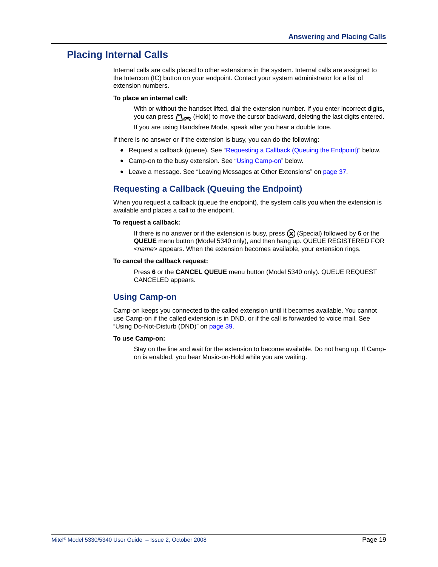### <span id="page-32-0"></span>**Placing Internal Calls**

Internal calls are calls placed to other extensions in the system. Internal calls are assigned to the Intercom (IC) button on your endpoint. Contact your system administrator for a list of extension numbers.

#### **To place an internal call:**

With or without the handset lifted, dial the extension number. If you enter incorrect digits, you can press  $\Delta_{\bigodot}$  (Hold) to move the cursor backward, deleting the last digits entered.

If you are using Handsfree Mode, speak after you hear a double tone.

If there is no answer or if the extension is busy, you can do the following:

- Request a callback (queue). See "[Requesting a Callback \(Queuing the Endpoint\)](#page-32-1)" below.
- Camp-on to the busy extension. See "[Using Camp-on](#page-32-2)" below.
- Leave a message. See ["Leaving Messages at Other Extensions" on page 37](#page-50-3).

### <span id="page-32-3"></span><span id="page-32-1"></span>**Requesting a Callback (Queuing the Endpoint)**

When you request a callback (queue the endpoint), the system calls you when the extension is available and places a call to the endpoint.

#### **To request a callback:**

If there is no answer or if the extension is busy, press  $\circledR$  (Special) followed by 6 or the **QUEUE** menu button (Model 5340 only), and then hang up. QUEUE REGISTERED FOR <*name*> appears. When the extension becomes available, your extension rings.

#### **To cancel the callback request:**

Press **6** or the **CANCEL QUEUE** menu button (Model 5340 only). QUEUE REQUEST CANCELED appears.

### <span id="page-32-2"></span>**Using Camp-on**

Camp-on keeps you connected to the called extension until it becomes available. You cannot use Camp-on if the called extension is in DND, or if the call is forwarded to voice mail. See ["Using Do-Not-Disturb \(DND\)" on page 39](#page-52-1).

#### **To use Camp-on:**

Stay on the line and wait for the extension to become available. Do not hang up. If Campon is enabled, you hear Music-on-Hold while you are waiting.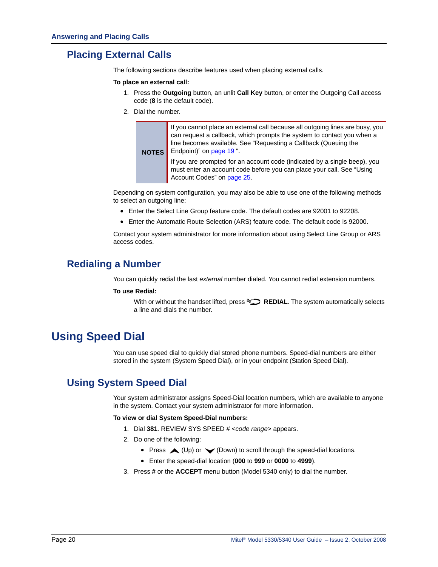## <span id="page-33-0"></span>**Placing External Calls**

The following sections describe features used when placing external calls.

#### **To place an external call:**

- 1. Press the **Outgoing** button, an unlit **Call Key** button, or enter the Outgoing Call access code (**8** is the default code).
- 2. Dial the number.

**NOTES** If you cannot place an external call because all outgoing lines are busy, you can request a callback, which prompts the system to contact you when a line becomes available. See ["Requesting a Callback \(Queuing the](#page-32-1)  [Endpoint\)" on page 19](#page-32-1) ".

> If you are prompted for an account code (indicated by a single beep), you must enter an account code before you can place your call. See ["Using](#page-38-0)  [Account Codes" on page 25](#page-38-0).

Depending on system configuration, you may also be able to use one of the following methods to select an outgoing line:

- Enter the Select Line Group feature code. The default codes are 92001 to 92208.
- Enter the Automatic Route Selection (ARS) feature code. The default code is 92000.

Contact your system administrator for more information about using Select Line Group or ARS access codes.

### <span id="page-33-5"></span><span id="page-33-1"></span>**Redialing a Number**

You can quickly redial the last *external* number dialed. You cannot redial extension numbers.

#### **To use Redial:**

With or without the handset lifted, press **REDIAL**. The system automatically selects a line and dials the number.

## <span id="page-33-4"></span><span id="page-33-2"></span>**Using Speed Dial**

You can use speed dial to quickly dial stored phone numbers. Speed-dial numbers are either stored in the system (System Speed Dial), or in your endpoint (Station Speed Dial).

## <span id="page-33-3"></span>**Using System Speed Dial**

Your system administrator assigns Speed-Dial location numbers, which are available to anyone in the system. Contact your system administrator for more information.

#### **To view or dial System Speed-Dial numbers:**

- 1. Dial **381**. REVIEW SYS SPEED # <*code range*> appears.
- 2. Do one of the following:
	- Press  $\triangle$  (Up) or  $\triangle$  (Down) to scroll through the speed-dial locations.
	- Enter the speed-dial location (**000** to **999** or **0000** to **4999**).
- 3. Press **#** or the **ACCEPT** menu button (Model 5340 only) to dial the number.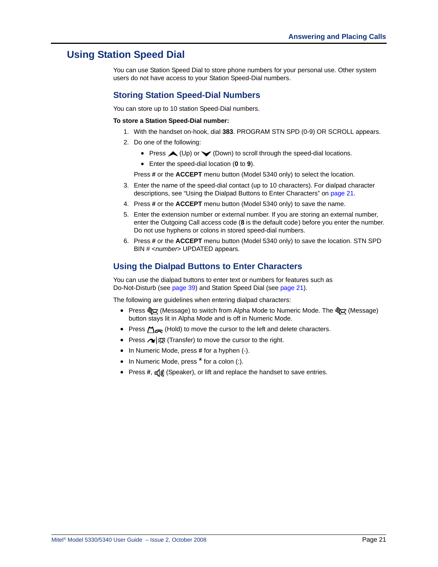### <span id="page-34-0"></span>**Using Station Speed Dial**

You can use Station Speed Dial to store phone numbers for your personal use. Other system users do not have access to your Station Speed-Dial numbers.

### <span id="page-34-4"></span><span id="page-34-1"></span>**Storing Station Speed-Dial Numbers**

You can store up to 10 station Speed-Dial numbers.

#### **To store a Station Speed-Dial number:**

- 1. With the handset on-hook, dial **383**. PROGRAM STN SPD (0-9) OR SCROLL appears.
- 2. Do one of the following:
	- Press  $\triangle$  (Up) or  $\triangle$  (Down) to scroll through the speed-dial locations.
	- Enter the speed-dial location (**0** to **9**).

Press **#** or the **ACCEPT** menu button (Model 5340 only) to select the location.

- 3. Enter the name of the speed-dial contact (up to 10 characters). For dialpad character descriptions, see ["Using the Dialpad Buttons to Enter Characters" on page 21.](#page-34-2)
- 4. Press **#** or the **ACCEPT** menu button (Model 5340 only) to save the name.
- 5. Enter the extension number or external number. If you are storing an external number, enter the Outgoing Call access code (**8** is the default code) before you enter the number. Do not use hyphens or colons in stored speed-dial numbers.
- 6. Press **#** or the **ACCEPT** menu button (Model 5340 only) to save the location. STN SPD BIN # <*number*> UPDATED appears.

### <span id="page-34-3"></span><span id="page-34-2"></span>**Using the Dialpad Buttons to Enter Characters**

You can use the dialpad buttons to enter text or numbers for features such as Do-Not-Disturb (see [page 39](#page-52-1)) and Station Speed Dial (see [page 21](#page-34-0)).

The following are guidelines when entering dialpad characters:

- Press জীব্ৰ (Message) to switch from Alpha Mode to Numeric Mode. The জীব্ৰ (Message) button stays lit in Alpha Mode and is off in Numeric Mode.
- Press  $\Delta_{\bigodot}$  (Hold) to move the cursor to the left and delete characters.
- Press  $\sim$   $\sqrt{\Omega}$  (Transfer) to move the cursor to the right.
- In Numeric Mode, press **#** for a hyphen (-).
- In Numeric Mode, press<sup>\*</sup> for a colon (:).
- Press #,  $\mathbb{q}$  (Speaker), or lift and replace the handset to save entries.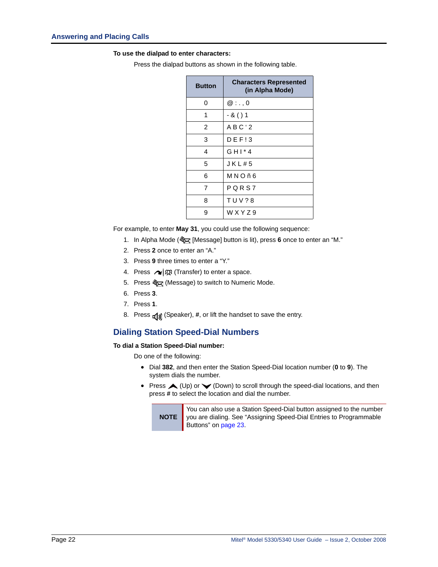#### **To use the dialpad to enter characters:**

Press the dialpad buttons as shown in the following table.

| <b>Button</b>  | <b>Characters Represented</b><br>(in Alpha Mode) |
|----------------|--------------------------------------------------|
| 0              | $@:$ ., 0                                        |
| 1              | - & ( ) 1                                        |
| $\overline{2}$ | ABC'2                                            |
| 3              | DEF13                                            |
| 4              | $GHI*4$                                          |
| 5              | JKL#5                                            |
| 6              | MNOñ6                                            |
| 7              | PQRS7                                            |
| 8              | <b>TUV?8</b>                                     |
| 9              | WXYZ9                                            |

For example, to enter **May 31**, you could use the following sequence:

- 1. In Alpha Mode ( $\sum_{i=1}^{\infty}$  [Message] button is lit), press 6 once to enter an "M."
- 2. Press **2** once to enter an "A."
- 3. Press **9** three times to enter a "Y."
- 4. Press (Transfer) to enter a space.
- 5. Press Som (Message) to switch to Numeric Mode.
- 6. Press **3**.
- 7. Press **1**.
- 8. Press  $\mathbf{r}(\mathbf{j})$  (Speaker), #, or lift the handset to save the entry.

### <span id="page-35-0"></span>**Dialing Station Speed-Dial Numbers**

#### **To dial a Station Speed-Dial number:**

Do one of the following:

- Dial **382**, and then enter the Station Speed-Dial location number (**0** to **9**). The system dials the number.
- Press  $\triangle$  (Up) or  $\triangleleft$  (Down) to scroll through the speed-dial locations, and then press **#** to select the location and dial the number.

**NOTE**

<span id="page-35-1"></span>You can also use a Station Speed-Dial button assigned to the number you are dialing. See ["Assigning Speed-Dial Entries to Programmable](#page-36-1)  [Buttons" on page 23](#page-36-1).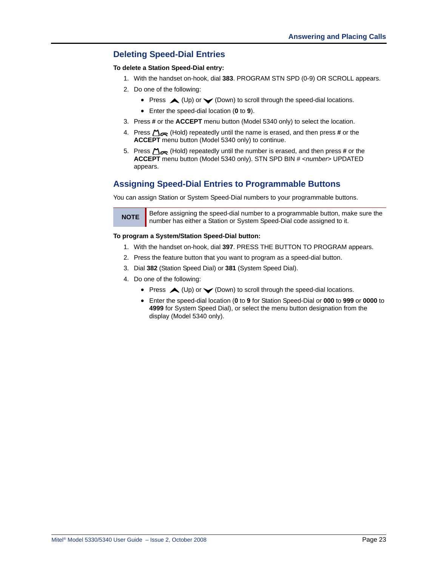### **Deleting Speed-Dial Entries**

#### **To delete a Station Speed-Dial entry:**

- 1. With the handset on-hook, dial **383**. PROGRAM STN SPD (0-9) OR SCROLL appears.
- 2. Do one of the following:
	- Press  $\triangle$  (Up) or  $\triangle$  (Down) to scroll through the speed-dial locations.
	- Enter the speed-dial location (**0** to **9**).
- 3. Press **#** or the **ACCEPT** menu button (Model 5340 only) to select the location.
- 4. Press (Hold) repeatedly until the name is erased, and then press **#** or the **ACCEPT** menu button (Model 5340 only) to continue.
- 5. Press (Hold) repeatedly until the number is erased, and then press **#** or the **ACCEPT** menu button (Model 5340 only). STN SPD BIN # <*number*> UPDATED appears.

### **Assigning Speed-Dial Entries to Programmable Buttons**

You can assign Station or System Speed-Dial numbers to your programmable buttons.

**NOTE** Before assigning the speed-dial number to a programmable button, make sure the number has either a Station or System Speed-Dial code assigned to it.

#### **To program a System/Station Speed-Dial button:**

- 1. With the handset on-hook, dial **397**. PRESS THE BUTTON TO PROGRAM appears.
- 2. Press the feature button that you want to program as a speed-dial button.
- 3. Dial **382** (Station Speed Dial) or **381** (System Speed Dial).
- 4. Do one of the following:
	- Press  $\triangle$  (Up) or  $\triangle$  (Down) to scroll through the speed-dial locations.
	- Enter the speed-dial location (**0** to **9** for Station Speed-Dial or **000** to **999** or **0000** to **4999** for System Speed Dial), or select the menu button designation from the display (Model 5340 only).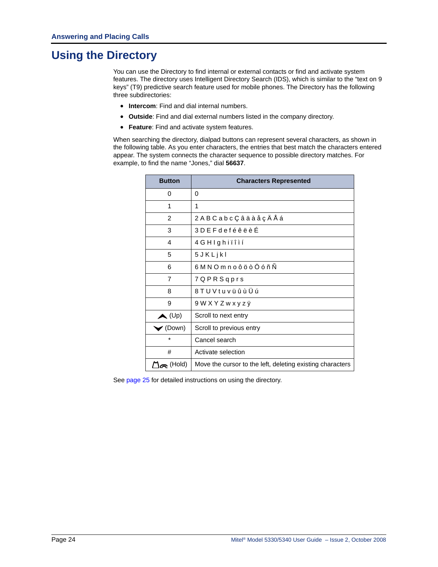# **Using the Directory**

<span id="page-37-0"></span>You can use the Directory to find internal or external contacts or find and activate system features. The directory uses Intelligent Directory Search (IDS), which is similar to the "text on 9 keys" (T9) predictive search feature used for mobile phones. The Directory has the following three subdirectories:

- **Intercom**: Find and dial internal numbers.
- **Outside**: Find and dial external numbers listed in the company directory.
- **Feature**: Find and activate system features.

When searching the directory, dialpad buttons can represent several characters, as shown in the following table. As you enter characters, the entries that best match the characters entered appear. The system connects the character sequence to possible directory matches. For example, to find the name "Jones," dial **56637**.

| <b>Button</b>                | <b>Characters Represented</b>                             |
|------------------------------|-----------------------------------------------------------|
| 0                            | 0                                                         |
| 1                            | 1                                                         |
| 2                            | 2 A B C a b c Ç â ä à å ç Ä Å á                           |
| 3                            | 3 D E F d e f é ê ë è É                                   |
| 4                            | 4 G H I g h i ï î ì í                                     |
| 5                            | 5 J K L j k l                                             |
| 6                            | 6 M N O m n o ô ö ò Ö ó ñ Ñ                               |
| 7                            | 7 Q P R S q p r s                                         |
| 8                            | 8 T U V t u v ü û ù Ü ú                                   |
| 9                            | 9 W X Y Z w x y z ÿ                                       |
| $\blacktriangle$ (Up)        | Scroll to next entry                                      |
| $\blacktriangleright$ (Down) | Scroll to previous entry                                  |
| $\star$                      | Cancel search                                             |
| #                            | Activate selection                                        |
| $\Box$ m (Hold)              | Move the cursor to the left, deleting existing characters |

See [page 25](#page-38-0) for detailed instructions on using the directory.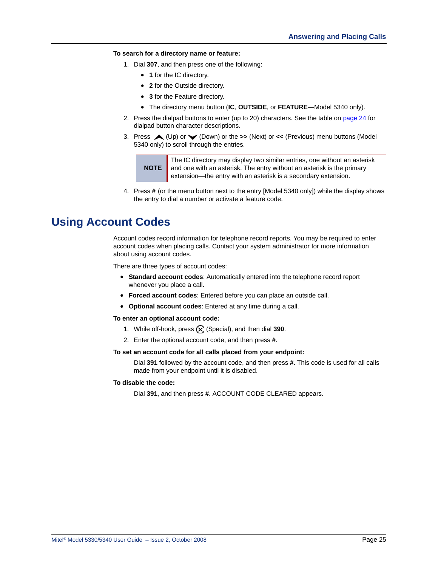#### <span id="page-38-0"></span>**To search for a directory name or feature:**

- 1. Dial **307**, and then press one of the following:
	- **1** for the IC directory.
	- **2** for the Outside directory.
	- **3** for the Feature directory.
	- The directory menu button (**IC**, **OUTSIDE**, or **FEATURE**—Model 5340 only).
- 2. Press the dialpad buttons to enter (up to 20) characters. See the table on [page 24](#page-37-0) for dialpad button character descriptions.
- 3. Press (Up) or (Down) or the **>>** (Next) or **<<** (Previous) menu buttons (Model 5340 only) to scroll through the entries.

**NOTE** The IC directory may display two similar entries, one without an asterisk and one with an asterisk. The entry without an asterisk is the primary extension—the entry with an asterisk is a secondary extension.

4. Press **#** (or the menu button next to the entry [Model 5340 only]) while the display shows the entry to dial a number or activate a feature code.

### **Using Account Codes**

<span id="page-38-1"></span>Account codes record information for telephone record reports. You may be required to enter account codes when placing calls. Contact your system administrator for more information about using account codes.

There are three types of account codes:

- **Standard account codes**: Automatically entered into the telephone record report whenever you place a call.
- **Forced account codes**: Entered before you can place an outside call.
- **Optional account codes**: Entered at any time during a call.

#### **To enter an optional account code:**

- 1. While off-hook, press  $\circledR$  (Special), and then dial 390.
- 2. Enter the optional account code, and then press **#**.

#### **To set an account code for all calls placed from your endpoint:**

Dial **391** followed by the account code, and then press **#**. This code is used for all calls made from your endpoint until it is disabled.

#### **To disable the code:**

Dial **391**, and then press **#**. ACCOUNT CODE CLEARED appears.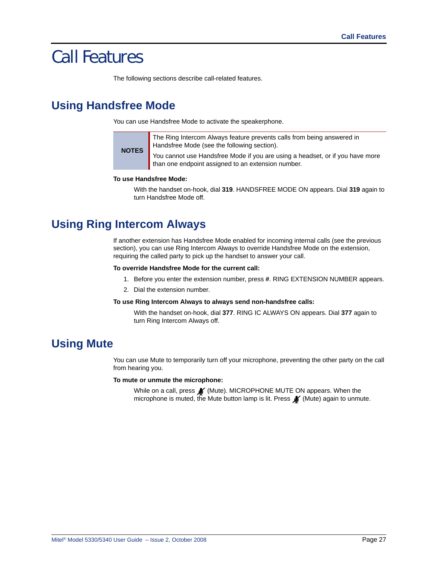# Call Features

The following sections describe call-related features.

# **Using Handsfree Mode**

<span id="page-40-2"></span>You can use Handsfree Mode to activate the speakerphone.

The Ring Intercom Always feature prevents calls from being answered in Handsfree Mode (see the following section).

You cannot use Handsfree Mode if you are using a headset, or if you have more than one endpoint assigned to an extension number.

#### **To use Handsfree Mode:**

With the handset on-hook, dial **319**. HANDSFREE MODE ON appears. Dial **319** again to turn Handsfree Mode off.

# **Using Ring Intercom Always**

<span id="page-40-1"></span>If another extension has Handsfree Mode enabled for incoming internal calls (see the previous section), you can use Ring Intercom Always to override Handsfree Mode on the extension, requiring the called party to pick up the handset to answer your call.

#### **To override Handsfree Mode for the current call:**

- 1. Before you enter the extension number, press **#**. RING EXTENSION NUMBER appears.
- 2. Dial the extension number.

#### **To use Ring Intercom Always to always send non-handsfree calls:**

With the handset on-hook, dial **377**. RING IC ALWAYS ON appears. Dial **377** again to turn Ring Intercom Always off.

# **Using Mute**

<span id="page-40-0"></span>You can use Mute to temporarily turn off your microphone, preventing the other party on the call from hearing you.

**To mute or unmute the microphone:**

While on a call, press  $\mathcal{N}$  (Mute). MICROPHONE MUTE ON appears. When the microphone is muted, the Mute button lamp is lit. Press **X** (Mute) again to unmute.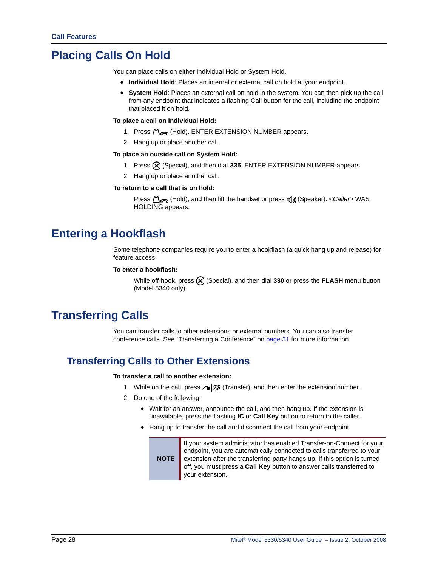# **Placing Calls On Hold**

You can place calls on either Individual Hold or System Hold.

- <span id="page-41-1"></span>• **Individual Hold**: Places an internal or external call on hold at your endpoint.
- <span id="page-41-2"></span> • **System Hold**: Places an external call on hold in the system. You can then pick up the call from any endpoint that indicates a flashing Call button for the call, including the endpoint that placed it on hold.

#### **To place a call on Individual Hold:**

- 1. Press  $\bigcap_{n\in\mathbb{N}}$  (Hold). ENTER EXTENSION NUMBER appears.
- 2. Hang up or place another call.

#### **To place an outside call on System Hold:**

- 1. Press  $\circledR$  (Special), and then dial 335. ENTER EXTENSION NUMBER appears.
- 2. Hang up or place another call.

#### **To return to a call that is on hold:**

**Press**  $\bigcap_{i=1}^n$  (Hold), and then lift the handset or press  $\mathbf{f}(\mathbf{j})$  (Speaker). <*Caller*> WAS HOLDING appears.

# **Entering a Hookflash**

<span id="page-41-3"></span>Some telephone companies require you to enter a hookflash (a quick hang up and release) for feature access.

#### **To enter a hookflash:**

While off-hook, press (X) (Special), and then dial 330 or press the FLASH menu button (Model 5340 only).

# **Transferring Calls**

<span id="page-41-0"></span>You can transfer calls to other extensions or external numbers. You can also transfer conference calls. See ["Transferring a Conference" on page 31](#page-44-0) for more information.

### **Transferring Calls to Other Extensions**

#### **To transfer a call to another extension:**

- 1. While on the call, press  $\log$  (Transfer), and then enter the extension number.
- 2. Do one of the following:
	- Wait for an answer, announce the call, and then hang up. If the extension is unavailable, press the flashing **IC** or **Call Key** button to return to the caller.
	- Hang up to transfer the call and disconnect the call from your endpoint.



If your system administrator has enabled Transfer-on-Connect for your endpoint, you are automatically connected to calls transferred to your extension after the transferring party hangs up. If this option is turned off, you must press a **Call Key** button to answer calls transferred to your extension.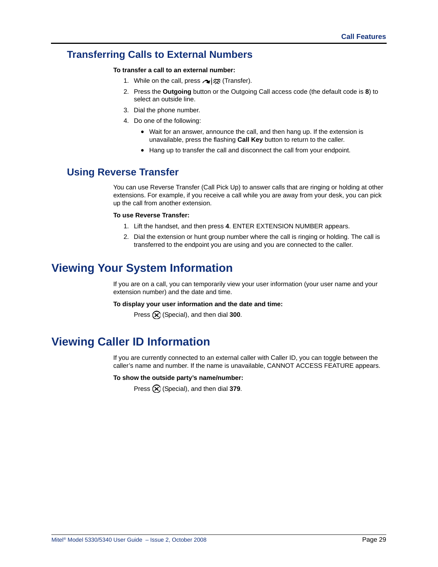### **Transferring Calls to External Numbers**

#### **To transfer a call to an external number:**

- 1. While on the call, press  $\sim$   $\mathbb{S}^2$  (Transfer).
- 2. Press the **Outgoing** button or the Outgoing Call access code (the default code is **8**) to select an outside line.
- 3. Dial the phone number.
- 4. Do one of the following:
	- Wait for an answer, announce the call, and then hang up. If the extension is unavailable, press the flashing **Call Key** button to return to the caller.
	- Hang up to transfer the call and disconnect the call from your endpoint.

### <span id="page-42-1"></span>**Using Reverse Transfer**

You can use Reverse Transfer (Call Pick Up) to answer calls that are ringing or holding at other extensions. For example, if you receive a call while you are away from your desk, you can pick up the call from another extension.

#### **To use Reverse Transfer:**

- 1. Lift the handset, and then press **4**. ENTER EXTENSION NUMBER appears.
- 2. Dial the extension or hunt group number where the call is ringing or holding. The call is transferred to the endpoint you are using and you are connected to the caller.

# **Viewing Your System Information**

If you are on a call, you can temporarily view your user information (your user name and your extension number) and the date and time.

#### **To display your user information and the date and time:**

Press  $\circledR$  (Special), and then dial **300**.

# **Viewing Caller ID Information**

<span id="page-42-0"></span>If you are currently connected to an external caller with Caller ID, you can toggle between the caller's name and number. If the name is unavailable, CANNOT ACCESS FEATURE appears.

#### **To show the outside party's name/number:**

Press  $\circledR$  (Special), and then dial 379.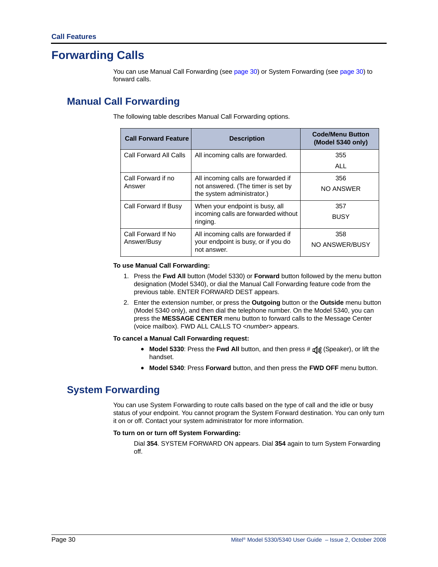# **Forwarding Calls**

You can use Manual Call Forwarding (see [page 30\)](#page-43-1) or System Forwarding (see [page 30\)](#page-43-0) to forward calls.

## <span id="page-43-1"></span>**Manual Call Forwarding**

<span id="page-43-2"></span>The following table describes Manual Call Forwarding options.

| <b>Call Forward Feature</b> | <b>Description</b>                                               | <b>Code/Menu Button</b><br>(Model 5340 only) |
|-----------------------------|------------------------------------------------------------------|----------------------------------------------|
| Call Forward All Calls      | All incoming calls are forwarded.                                | 355                                          |
|                             |                                                                  | ALL                                          |
| Call Forward if no          | All incoming calls are forwarded if                              | 356                                          |
| Answer                      | not answered. (The timer is set by<br>the system administrator.) | NO ANSWER                                    |
| Call Forward If Busy        | When your endpoint is busy, all                                  | 357                                          |
|                             | incoming calls are forwarded without<br>ringing.                 | <b>BUSY</b>                                  |
| Call Forward If No.         | All incoming calls are forwarded if                              | 358                                          |
| Answer/Busy                 | your endpoint is busy, or if you do<br>not answer.               | NO ANSWER/BUSY                               |

#### **To use Manual Call Forwarding:**

- 1. Press the **Fwd All** button (Model 5330) or **Forward** button followed by the menu button designation (Model 5340), or dial the Manual Call Forwarding feature code from the previous table. ENTER FORWARD DEST appears.
- 2. Enter the extension number, or press the **Outgoing** button or the **Outside** menu button (Model 5340 only), and then dial the telephone number. On the Model 5340, you can press the **MESSAGE CENTER** menu button to forward calls to the Message Center (voice mailbox). FWD ALL CALLS TO <*number*> appears.

#### **To cancel a Manual Call Forwarding request:**

- **Model 5330**: Press the **Fwd All** button, and then press #  $\mathbf{d}(\mathbf{y})$  (Speaker), or lift the handset.
- **Model 5340**: Press **Forward** button, and then press the **FWD OFF** menu button.

### <span id="page-43-0"></span>**System Forwarding**

<span id="page-43-3"></span>You can use System Forwarding to route calls based on the type of call and the idle or busy status of your endpoint. You cannot program the System Forward destination. You can only turn it on or off. Contact your system administrator for more information.

#### **To turn on or turn off System Forwarding:**

Dial **354**. SYSTEM FORWARD ON appears. Dial **354** again to turn System Forwarding off.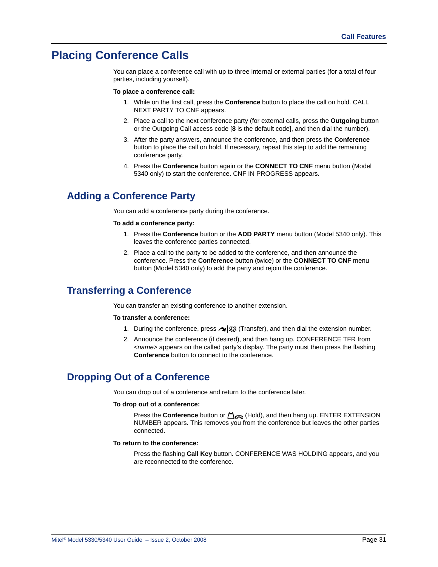# **Placing Conference Calls**

<span id="page-44-1"></span>You can place a conference call with up to three internal or external parties (for a total of four parties, including yourself).

#### **To place a conference call:**

- 1. While on the first call, press the **Conference** button to place the call on hold. CALL NEXT PARTY TO CNF appears.
- 2. Place a call to the next conference party (for external calls, press the **Outgoing** button or the Outgoing Call access code [**8** is the default code], and then dial the number).
- 3. After the party answers, announce the conference, and then press the **Conference** button to place the call on hold. If necessary, repeat this step to add the remaining conference party.
- 4. Press the **Conference** button again or the **CONNECT TO CNF** menu button (Model 5340 only) to start the conference. CNF IN PROGRESS appears.

### **Adding a Conference Party**

<span id="page-44-2"></span>You can add a conference party during the conference.

#### **To add a conference party:**

- 1. Press the **Conference** button or the **ADD PARTY** menu button (Model 5340 only). This leaves the conference parties connected.
- 2. Place a call to the party to be added to the conference, and then announce the conference. Press the **Conference** button (twice) or the **CONNECT TO CNF** menu button (Model 5340 only) to add the party and rejoin the conference.

### <span id="page-44-0"></span>**Transferring a Conference**

<span id="page-44-4"></span>You can transfer an existing conference to another extension.

#### **To transfer a conference:**

- 1. During the conference, press  $\bigcap_{i=1}^{\infty}$  (Transfer), and then dial the extension number.
- 2. Announce the conference (if desired), and then hang up. CONFERENCE TFR from <*name*> appears on the called party's display. The party must then press the flashing **Conference** button to connect to the conference.

### **Dropping Out of a Conference**

<span id="page-44-3"></span>You can drop out of a conference and return to the conference later.

#### **To drop out of a conference:**

Press the **Conference** button or (Hold), and then hang up. ENTER EXTENSION NUMBER appears. This removes you from the conference but leaves the other parties connected.

#### **To return to the conference:**

Press the flashing **Call Key** button. CONFERENCE WAS HOLDING appears, and you are reconnected to the conference.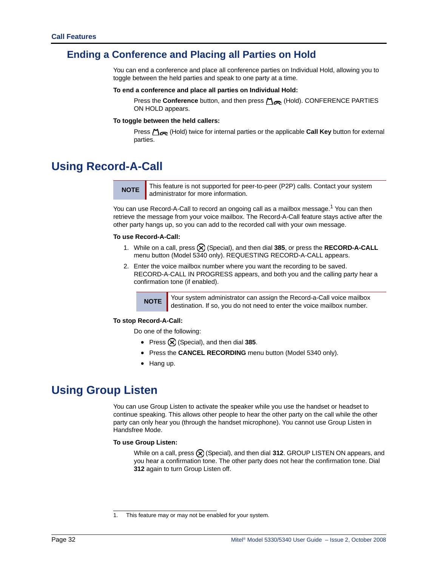### **Ending a Conference and Placing all Parties on Hold**

You can end a conference and place all conference parties on Individual Hold, allowing you to toggle between the held parties and speak to one party at a time.

#### <span id="page-45-2"></span>**To end a conference and place all parties on Individual Hold:**

Press the **Conference** button, and then press (Hold). CONFERENCE PARTIES ON HOLD appears.

#### **To toggle between the held callers:**

Press (Hold) twice for internal parties or the applicable **Call Key** button for external parties.

# <span id="page-45-0"></span>**Using Record-A-Call**

**.**

**NOTE** This feature is not supported for peer-to-peer (P2P) calls. Contact your system administrator for more information.

You can use Record-A-Call to record an ongoing call as a mailbox message.<sup>1</sup> You can then retrieve the message from your voice mailbox. The Record-A-Call feature stays active after the other party hangs up, so you can add to the recorded call with your own message.

#### **To use Record-A-Call:**

- 1. While on a call, press (Special), and then dial **385**, or press the **RECORD-A-CALL**  menu button (Model 5340 only). REQUESTING RECORD-A-CALL appears.
- 2. Enter the voice mailbox number where you want the recording to be saved. RECORD-A-CALL IN PROGRESS appears, and both you and the calling party hear a confirmation tone (if enabled).

**NOTE** Your system administrator can assign the Record-a-Call voice mailbox destination. If so, you do not need to enter the voice mailbox number.

#### <span id="page-45-1"></span>**To stop Record-A-Call:**

Do one of the following:

- Press  $(\widehat{X})$  (Special), and then dial 385.
- Press the **CANCEL RECORDING** menu button (Model 5340 only).
- Hang up.

## **Using Group Listen**

<span id="page-45-3"></span>You can use Group Listen to activate the speaker while you use the handset or headset to continue speaking. This allows other people to hear the other party on the call while the other party can only hear you (through the handset microphone). You cannot use Group Listen in Handsfree Mode.

#### **To use Group Listen:**

While on a call, press  $\left(\bigtimes\right)$  (Special), and then dial **312**. GROUP LISTEN ON appears, and you hear a confirmation tone. The other party does not hear the confirmation tone. Dial **312** again to turn Group Listen off.

<sup>1.</sup> This feature may or may not be enabled for your system.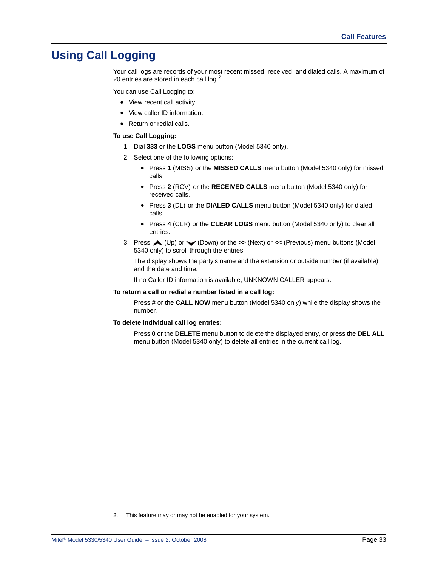# **Using Call Logging**

Your call logs are records of your most recent missed, received, and dialed calls. A maximum of 20 entries are stored in each call log.<sup>2</sup>

You can use Call Logging to:

- <span id="page-46-0"></span>• View recent call activity.
- View caller ID information.
- Return or redial calls.

#### **To use Call Logging:**

- 1. Dial **333** or the **LOGS** menu button (Model 5340 only).
- 2. Select one of the following options:
	- Press **1** (MISS) or the **MISSED CALLS** menu button (Model 5340 only) for missed calls.
	- Press **2** (RCV) or the **RECEIVED CALLS** menu button (Model 5340 only) for received calls.
	- Press **3** (DL) or the **DIALED CALLS** menu button (Model 5340 only) for dialed calls.
	- Press **4** (CLR) or the **CLEAR LOGS** menu button (Model 5340 only) to clear all entries.
- 3. Press (Up) or (Down) or the **>>** (Next) or **<<** (Previous) menu buttons (Model 5340 only) to scroll through the entries.

The display shows the party's name and the extension or outside number (if available) and the date and time.

If no Caller ID information is available, UNKNOWN CALLER appears.

#### **To return a call or redial a number listed in a call log:**

Press **#** or the **CALL NOW** menu button (Model 5340 only) while the display shows the number.

#### **To delete individual call log entries:**

Press **0** or the **DELETE** menu button to delete the displayed entry, or press the **DEL ALL**  menu button (Model 5340 only) to delete all entries in the current call log.

<sup>2.</sup> This feature may or may not be enabled for your system.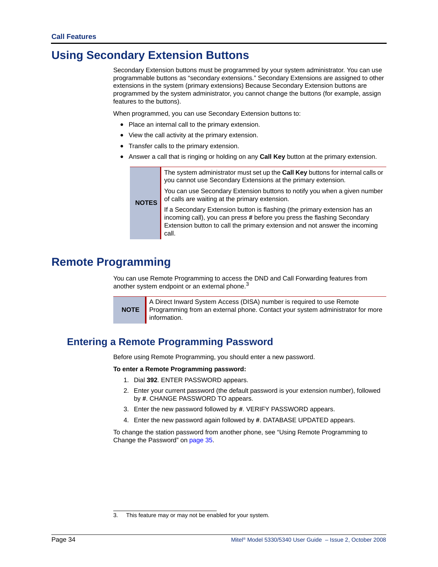# **Using Secondary Extension Buttons**

Secondary Extension buttons must be programmed by your system administrator. You can use programmable buttons as "secondary extensions." Secondary Extensions are assigned to other extensions in the system (primary extensions) Because Secondary Extension buttons are programmed by the system administrator, you cannot change the buttons (for example, assign features to the buttons).

When programmed, you can use Secondary Extension buttons to:

- Place an internal call to the primary extension.
- View the call activity at the primary extension.
- Transfer calls to the primary extension.
- Answer a call that is ringing or holding on any **Call Key** button at the primary extension.

|              | The system administrator must set up the Call Key buttons for internal calls or<br>you cannot use Secondary Extensions at the primary extension.<br>You can use Secondary Extension buttons to notify you when a given number<br>of calls are waiting at the primary extension. |
|--------------|---------------------------------------------------------------------------------------------------------------------------------------------------------------------------------------------------------------------------------------------------------------------------------|
| <b>NOTES</b> | If a Secondary Extension button is flashing (the primary extension has an<br>incoming call), you can press # before you press the flashing Secondary<br>Extension button to call the primary extension and not answer the incoming<br>call.                                     |

# **Remote Programming**

You can use Remote Programming to access the DND and Call Forwarding features from another system endpoint or an external phone.<sup>3</sup>

**NOTE**

A Direct Inward System Access (DISA) number is required to use Remote Programming from an external phone. Contact your system administrator for more information.

## **Entering a Remote Programming Password**

Before using Remote Programming, you should enter a new password.

#### **To enter a Remote Programming password:**

- 1. Dial **392**. ENTER PASSWORD appears.
- 2. Enter your current password (the default password is your extension number), followed by **#**. CHANGE PASSWORD TO appears.
- 3. Enter the new password followed by **#**. VERIFY PASSWORD appears.
- 4. Enter the new password again followed by **#**. DATABASE UPDATED appears.

To change the station password from another phone, see ["Using Remote Programming to](#page-48-0)  [Change the Password" on page 35](#page-48-0).

<sup>3.</sup> This feature may or may not be enabled for your system.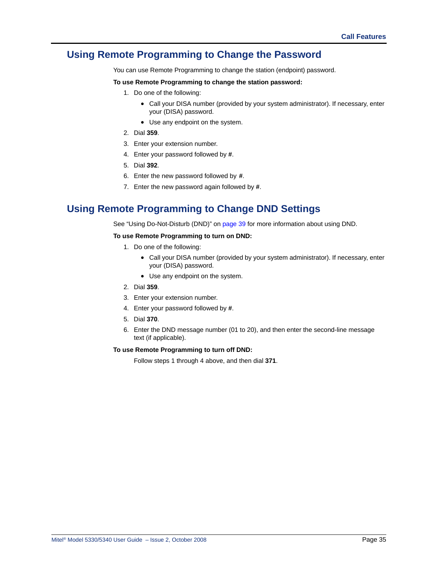### <span id="page-48-0"></span>**Using Remote Programming to Change the Password**

You can use Remote Programming to change the station (endpoint) password.

#### **To use Remote Programming to change the station password:**

- 1. Do one of the following:
	- Call your DISA number (provided by your system administrator). If necessary, enter your (DISA) password.
	- Use any endpoint on the system.
- 2. Dial **359**.
- 3. Enter your extension number.
- 4. Enter your password followed by **#**.
- 5. Dial **392**.
- 6. Enter the new password followed by **#**.
- 7. Enter the new password again followed by **#**.

### **Using Remote Programming to Change DND Settings**

See ["Using Do-Not-Disturb \(DND\)" on page 39](#page-52-0) for more information about using DND.

#### <span id="page-48-1"></span>**To use Remote Programming to turn on DND:**

- 1. Do one of the following:
	- Call your DISA number (provided by your system administrator). If necessary, enter your (DISA) password.
	- Use any endpoint on the system.
- 2. Dial **359**.
- 3. Enter your extension number.
- <span id="page-48-2"></span>4. Enter your password followed by **#**.
- 5. Dial **370**.
- 6. Enter the DND message number (01 to 20), and then enter the second-line message text (if applicable).

#### **To use Remote Programming to turn off DND:**

Follow steps [1](#page-48-1) through [4](#page-48-2) above, and then dial **371**.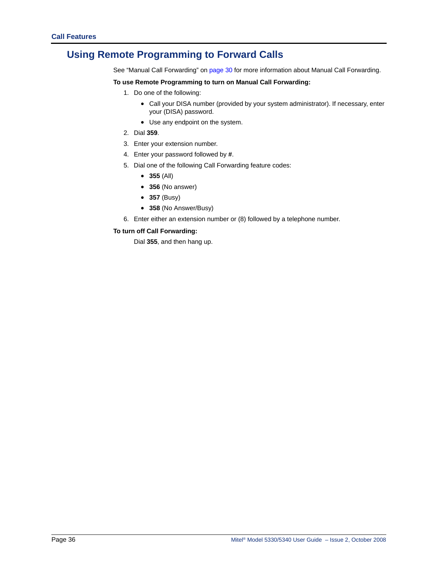## **Using Remote Programming to Forward Calls**

See ["Manual Call Forwarding" on page 30](#page-43-1) for more information about Manual Call Forwarding.

#### **To use Remote Programming to turn on Manual Call Forwarding:**

- 1. Do one of the following:
	- Call your DISA number (provided by your system administrator). If necessary, enter your (DISA) password.
	- Use any endpoint on the system.
- 2. Dial **359**.
- 3. Enter your extension number.
- 4. Enter your password followed by **#**.
- 5. Dial one of the following Call Forwarding feature codes:
	- **355** (All)
	- **356** (No answer)
	- **357** (Busy)
	- **358** (No Answer/Busy)
- 6. Enter either an extension number or (8) followed by a telephone number.

#### **To turn off Call Forwarding:**

Dial **355**, and then hang up.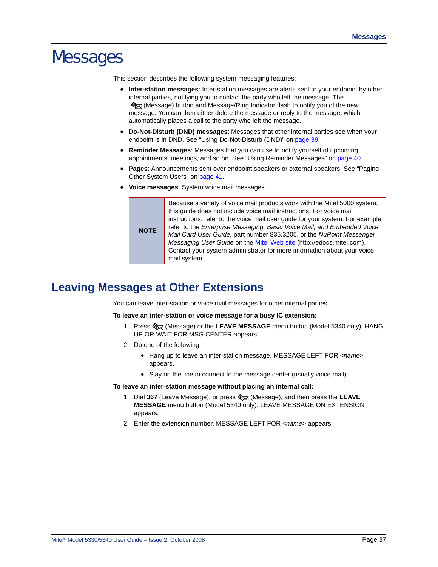# Messages

This section describes the following system messaging features:

- **Inter-station messages**: Inter-station messages are alerts sent to your endpoint by other internal parties, notifying you to contact the party who left the message. The Sog (Message) button and Message/Ring Indicator flash to notify you of the new message. You can then either delete the message or reply to the message, which automatically places a call to the party who left the message.
- **Do-Not-Disturb (DND) messages**: Messages that other internal parties see when your endpoint is in DND. See ["Using Do-Not-Disturb \(DND\)" on page 39.](#page-52-1)
- **Reminder Messages**: Messages that you can use to notify yourself of upcoming appointments, meetings, and so on. See ["Using Reminder Messages" on page 40](#page-53-0).
- **Pages**: Announcements sent over endpoint speakers or external speakers. See ["Paging](#page-54-0)  [Other System Users" on page 41](#page-54-0).
- **Voice messages**: System voice mail messages.

**NOTE** Because a variety of voice mail products work with the Mitel 5000 system, this guide does not include voice mail instructions. For voice mail instructions, refer to the voice mail user guide for your system. For example, refer to the *Enterprise Messaging, Basic Voice Mail, and Embedded Voice Mail Card User Guide,* part number 835.3205, or the *NuPoint Messenger Messaging User Guide* on the [Mitel Web site](http://edocs.mitel.com) (http://edocs.mitel.com). Contact your system administrator for more information about your voice mail system.

# **Leaving Messages at Other Extensions**

You can leave inter-station or voice mail messages for other internal parties.

#### **To leave an inter-station or voice message for a busy IC extension:**

- 1. Press S<sub>pq</sub> (Message) or the LEAVE MESSAGE menu button (Model 5340 only). HANG UP OR WAIT FOR MSG CENTER appears.
- 2. Do one of the following:
	- Hang up to leave an inter-station message. MESSAGE LEFT FOR <*name*> appears.
	- Stay on the line to connect to the message center (usually voice mail).

#### **To leave an inter-station message without placing an internal call:**

- 1. Dial **367** (Leave Message), or press (Message), and then press the **LEAVE MESSAGE** menu button (Model 5340 only). LEAVE MESSAGE ON EXTENSION appears.
- 2. Enter the extension number. MESSAGE LEFT FOR <*name*> appears.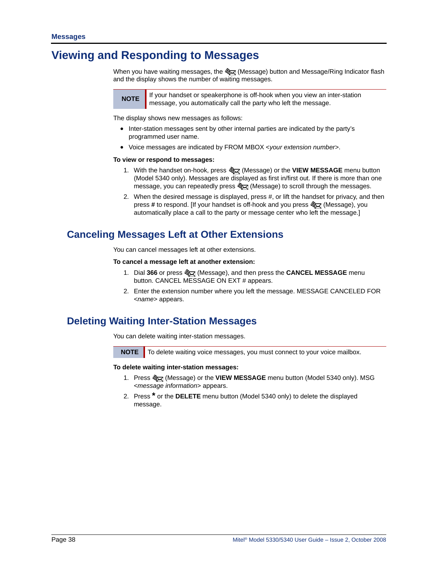# **Viewing and Responding to Messages**

When you have waiting messages, the क्षेत्र्यु (Message) button and Message/Ring Indicator flash and the display shows the number of waiting messages.



**NOTE** If your handset or speakerphone is off-hook when you view an inter-station message, you automatically call the party who left the message.

The display shows new messages as follows:

- Inter-station messages sent by other internal parties are indicated by the party's programmed user name.
- Voice messages are indicated by FROM MBOX <*your extension number*>.

#### **To view or respond to messages:**

- 1. With the handset on-hook, press  $\mathcal{L}$  (Message) or the **VIEW MESSAGE** menu button (Model 5340 only). Messages are displayed as first in/first out. If there is more than one message, you can repeatedly press  $\frac{1}{2}$  (Message) to scroll through the messages.
- 2. When the desired message is displayed, press #, or lift the handset for privacy, and then press # to respond. [If your handset is off-hook and you press  $\mathcal{L}\left(\mathcal{A}\right)$  (Message), you automatically place a call to the party or message center who left the message.]

### **Canceling Messages Left at Other Extensions**

You can cancel messages left at other extensions.

#### **To cancel a message left at another extension:**

- 1. Dial **366** or press (Message), and then press the **CANCEL MESSAGE** menu button. CANCEL MESSAGE ON EXT # appears.
- 2. Enter the extension number where you left the message. MESSAGE CANCELED FOR <*name*> appears.

### **Deleting Waiting Inter-Station Messages**

You can delete waiting inter-station messages.

**NOTE** To delete waiting voice messages, you must connect to your voice mailbox.

**To delete waiting inter-station messages:**

- 1. Press (Message) or the **VIEW MESSAGE** menu button (Model 5340 only). MSG <*message information*> appears.
- 2. Press **\*** or the **DELETE** menu button (Model 5340 only) to delete the displayed message.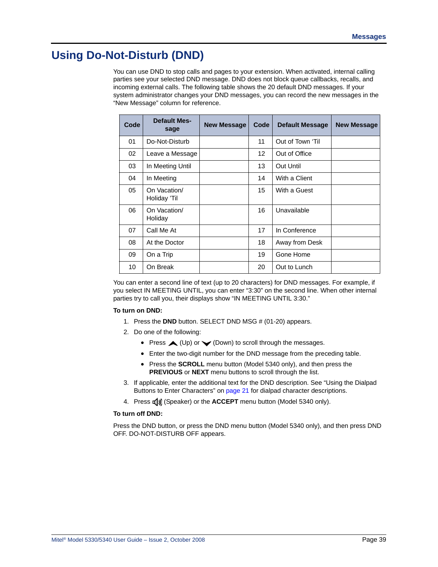# <span id="page-52-1"></span><span id="page-52-0"></span>**Using Do-Not-Disturb (DND)**

<span id="page-52-2"></span>You can use DND to stop calls and pages to your extension. When activated, internal calling parties see your selected DND message. DND does not block queue callbacks, recalls, and incoming external calls. The following table shows the 20 default DND messages. If your system administrator changes your DND messages, you can record the new messages in the "New Message" column for reference.

| Code | <b>Default Mes-</b><br>sage  | <b>New Message</b> | Code              | <b>Default Message</b> | <b>New Message</b> |
|------|------------------------------|--------------------|-------------------|------------------------|--------------------|
| 01   | Do-Not-Disturb               |                    | 11                | Out of Town 'Til       |                    |
| 02   | Leave a Message              |                    | $12 \overline{ }$ | Out of Office          |                    |
| 03   | In Meeting Until             |                    | 13                | <b>Out Until</b>       |                    |
| 04   | In Meeting                   |                    | 14                | With a Client          |                    |
| 05   | On Vacation/<br>Holiday 'Til |                    | 15                | With a Guest           |                    |
| 06   | On Vacation/<br>Holiday      |                    | 16                | Unavailable            |                    |
| 07   | Call Me At                   |                    | 17                | In Conference          |                    |
| 08   | At the Doctor                |                    | 18                | Away from Desk         |                    |
| 09   | On a Trip                    |                    | 19                | Gone Home              |                    |
| 10   | On Break                     |                    | 20                | Out to Lunch           |                    |

You can enter a second line of text (up to 20 characters) for DND messages. For example, if you select IN MEETING UNTIL, you can enter "3:30" on the second line. When other internal parties try to call you, their displays show "IN MEETING UNTIL 3:30."

#### **To turn on DND:**

- 1. Press the **DND** button. SELECT DND MSG # (01-20) appears.
- 2. Do one of the following:
	- Press  $\triangle$  (Up) or  $\triangle$  (Down) to scroll through the messages.
	- Enter the two-digit number for the DND message from the preceding table.
	- Press the **SCROLL** menu button (Model 5340 only), and then press the **PREVIOUS** or **NEXT** menu buttons to scroll through the list.
- 3. If applicable*,* enter the additional text for the DND description. See ["Using the Dialpad](#page-34-0)  [Buttons to Enter Characters" on page 21](#page-34-0) for dialpad character descriptions.
- 4. Press  $\mathbf{r}(\mathbf{y})$  (Speaker) or the **ACCEPT** menu button (Model 5340 only).

#### **To turn off DND:**

Press the DND button, or press the DND menu button (Model 5340 only), and then press DND OFF. DO-NOT-DISTURB OFF appears.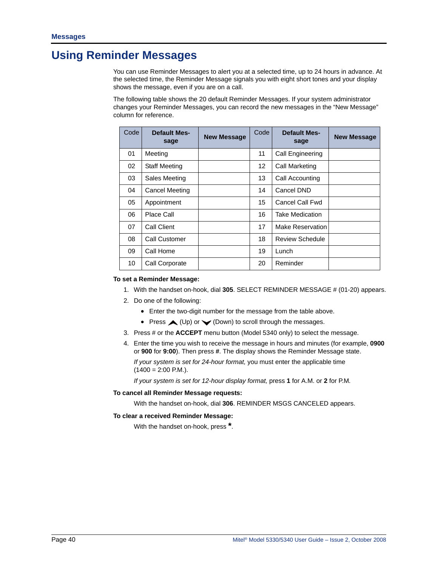# <span id="page-53-0"></span>**Using Reminder Messages**

You can use Reminder Messages to alert you at a selected time, up to 24 hours in advance. At the selected time, the Reminder Message signals you with eight short tones and your display shows the message, even if you are on a call.

The following table shows the 20 default Reminder Messages. If your system administrator changes your Reminder Messages, you can record the new messages in the "New Message" column for reference.

| Code | <b>Default Mes-</b><br>sage | <b>New Message</b> | Code            | <b>Default Mes-</b><br>sage | <b>New Message</b> |
|------|-----------------------------|--------------------|-----------------|-----------------------------|--------------------|
| 01   | Meeting                     |                    | 11              | Call Engineering            |                    |
| 02   | <b>Staff Meeting</b>        |                    | 12 <sup>2</sup> | Call Marketing              |                    |
| 03   | Sales Meeting               |                    | 13              | Call Accounting             |                    |
| 04   | Cancel Meeting              |                    | 14              | Cancel DND                  |                    |
| 05   | Appointment                 |                    | 15              | Cancel Call Fwd             |                    |
| 06   | Place Call                  |                    | 16              | <b>Take Medication</b>      |                    |
| 07   | Call Client                 |                    | 17              | Make Reservation            |                    |
| 08   | Call Customer               |                    | 18              | Review Schedule             |                    |
| 09   | Call Home                   |                    | 19              | Lunch                       |                    |
| 10   | Call Corporate              |                    | 20              | Reminder                    |                    |

#### **To set a Reminder Message:**

- 1. With the handset on-hook, dial **305**. SELECT REMINDER MESSAGE # (01-20) appears.
- 2. Do one of the following:
	- Enter the two-digit number for the message from the table above.
	- Press  $\triangle$  (Up) or  $\triangle$  (Down) to scroll through the messages.
- 3. Press # or the **ACCEPT** menu button (Model 5340 only) to select the message.
- 4. Enter the time you wish to receive the message in hours and minutes (for example, **0900** or **900** for **9:00**). Then press **#**. The display shows the Reminder Message state.

*If your system is set for 24-hour format,* you must enter the applicable time  $(1400 = 2:00$  P.M.).

*If your system is set for 12-hour display format,* press **1** for A.M. or **2** for P.M*.*

#### **To cancel all Reminder Message requests:**

With the handset on-hook, dial **306**. REMINDER MSGS CANCELED appears.

#### **To clear a received Reminder Message:**

With the handset on-hook, press **\***.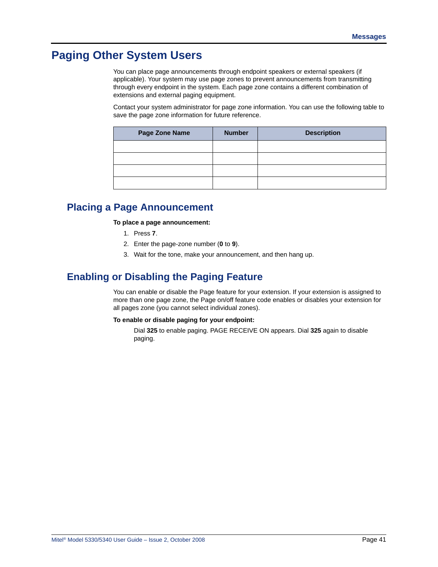# <span id="page-54-0"></span>**Paging Other System Users**

You can place page announcements through endpoint speakers or external speakers (if applicable). Your system may use page zones to prevent announcements from transmitting through every endpoint in the system. Each page zone contains a different combination of extensions and external paging equipment.

Contact your system administrator for page zone information. You can use the following table to save the page zone information for future reference.

| Page Zone Name | <b>Number</b> | <b>Description</b> |
|----------------|---------------|--------------------|
|                |               |                    |
|                |               |                    |
|                |               |                    |
|                |               |                    |

### **Placing a Page Announcement**

**To place a page announcement:**

- 1. Press **7**.
- 2. Enter the page-zone number (**0** to **9**).
- 3. Wait for the tone, make your announcement, and then hang up.

### **Enabling or Disabling the Paging Feature**

You can enable or disable the Page feature for your extension. If your extension is assigned to more than one page zone, the Page on/off feature code enables or disables your extension for all pages zone (you cannot select individual zones).

#### **To enable or disable paging for your endpoint:**

Dial **325** to enable paging. PAGE RECEIVE ON appears. Dial **325** again to disable paging.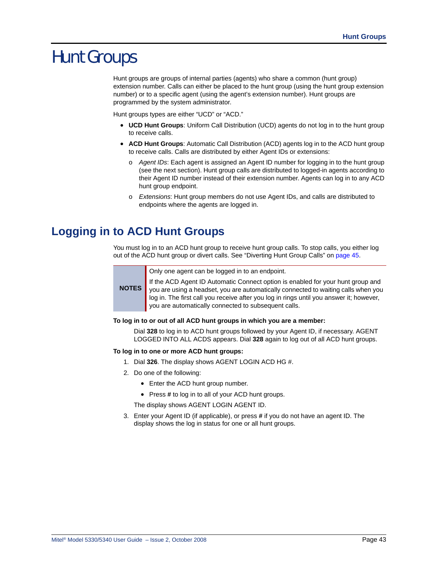# Hunt Groups

Hunt groups are groups of internal parties (agents) who share a common (hunt group) extension number. Calls can either be placed to the hunt group (using the hunt group extension number) or to a specific agent (using the agent's extension number). Hunt groups are programmed by the system administrator.

Hunt groups types are either "UCD" or "ACD."

- **UCD Hunt Groups**: Uniform Call Distribution (UCD) agents do not log in to the hunt group to receive calls.
- <span id="page-56-2"></span><span id="page-56-1"></span><span id="page-56-0"></span> • **ACD Hunt Groups**: Automatic Call Distribution (ACD) agents log in to the ACD hunt group to receive calls. Calls are distributed by either Agent IDs or extensions:
	- o *Agent IDs*: Each agent is assigned an Agent ID number for logging in to the hunt group (see the next section). Hunt group calls are distributed to logged-in agents according to their Agent ID number instead of their extension number. Agents can log in to any ACD hunt group endpoint.
	- o *Extensions*: Hunt group members do not use Agent IDs, and calls are distributed to endpoints where the agents are logged in.

# **Logging in to ACD Hunt Groups**

**NOTES**

You must log in to an ACD hunt group to receive hunt group calls. To stop calls, you either log out of the ACD hunt group or divert calls. See ["Diverting Hunt Group Calls" on page 45.](#page-58-0)

Only one agent can be logged in to an endpoint.

If the ACD Agent ID Automatic Connect option is enabled for your hunt group and you are using a headset, you are automatically connected to waiting calls when you log in. The first call you receive after you log in rings until you answer it; however, you are automatically connected to subsequent calls.

#### **To log in to or out of all ACD hunt groups in which you are a member:**

Dial **328** to log in to ACD hunt groups followed by your Agent ID, if necessary. AGENT LOGGED INTO ALL ACDS appears. Dial **328** again to log out of all ACD hunt groups.

#### **To log in to one or more ACD hunt groups:**

- 1. Dial **326**. The display shows AGENT LOGIN ACD HG #.
- 2. Do one of the following:
	- Enter the ACD hunt group number.
	- Press **#** to log in to all of your ACD hunt groups.

The display shows AGENT LOGIN AGENT ID.

3. Enter your Agent ID (if applicable), or press **#** if you do not have an agent ID. The display shows the log in status for one or all hunt groups.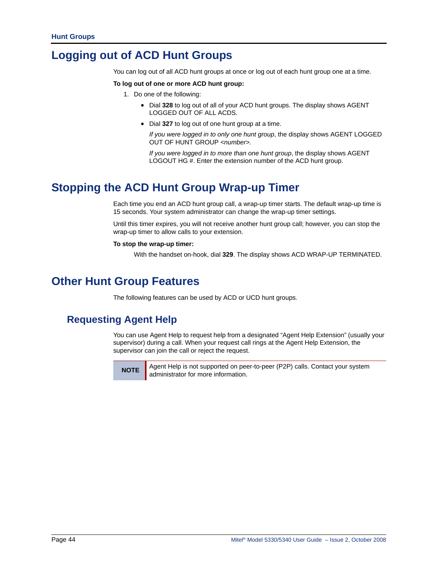# **Logging out of ACD Hunt Groups**

<span id="page-57-1"></span>You can log out of all ACD hunt groups at once or log out of each hunt group one at a time.

#### **To log out of one or more ACD hunt group:**

- 1. Do one of the following:
	- Dial **328** to log out of all of your ACD hunt groups. The display shows AGENT LOGGED OUT OF ALL ACDS.
	- Dial **327** to log out of one hunt group at a time.

*If you were logged in to only one hunt group*, the display shows AGENT LOGGED OUT OF HUNT GROUP *<number>.* 

*If you were logged in to more than one hunt group*, the display shows AGENT LOGOUT HG #. Enter the extension number of the ACD hunt group.

# **Stopping the ACD Hunt Group Wrap-up Timer**

<span id="page-57-2"></span>Each time you end an ACD hunt group call, a wrap-up timer starts. The default wrap-up time is 15 seconds. Your system administrator can change the wrap-up timer settings.

Until this timer expires, you will not receive another hunt group call; however, you can stop the wrap-up timer to allow calls to your extension.

#### **To stop the wrap-up timer:**

With the handset on-hook, dial **329**. The display shows ACD WRAP-UP TERMINATED.

# **Other Hunt Group Features**

The following features can be used by ACD or UCD hunt groups.

### **Requesting Agent Help**

<span id="page-57-0"></span>You can use Agent Help to request help from a designated "Agent Help Extension" (usually your supervisor) during a call. When your request call rings at the Agent Help Extension, the supervisor can join the call or reject the request.



**NOTE** Agent Help is not supported on peer-to-peer (P2P) calls. Contact your system administrator for more information.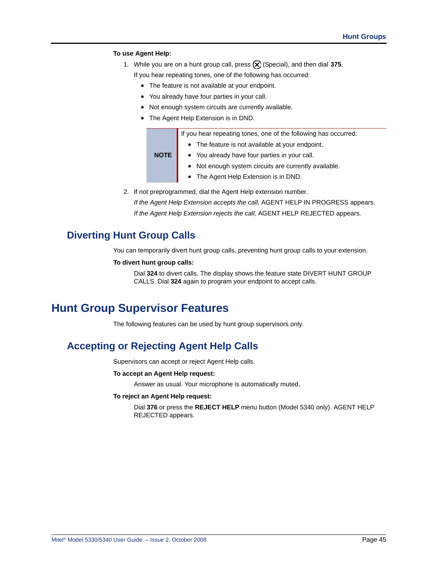#### **To use Agent Help:**

1. While you are on a hunt group call, press  $\circledast$  (Special), and then dial 375.

If you hear repeating tones, one of the following has occurred:

- The feature is not available at your endpoint.
- You already have four parties in your call.
- Not enough system circuits are currently available.
- The Agent Help Extension is in DND.

|      | If you hear repeating tones, one of the following has occurred: |  |
|------|-----------------------------------------------------------------|--|
|      | • The feature is not available at your endpoint.                |  |
| NOTE | • You already have four parties in your call.                   |  |
|      | • Not enough system circuits are currently available.           |  |

- The Agent Help Extension is in DND.
- 2. If not preprogrammed, dial the Agent Help extension number.

*If the Agent Help Extension accepts the call,* AGENT HELP IN PROGRESS appears. *If the Agent Help Extension rejects the call,* AGENT HELP REJECTED appears.

## <span id="page-58-0"></span>**Diverting Hunt Group Calls**

You can temporarily divert hunt group calls, preventing hunt group calls to your extension.

#### <span id="page-58-2"></span>**To divert hunt group calls:**

Dial **324** to divert calls. The display shows the feature state DIVERT HUNT GROUP CALLS. Dial **324** again to program your endpoint to accept calls.

# **Hunt Group Supervisor Features**

The following features can be used by hunt group supervisors only.

## **Accepting or Rejecting Agent Help Calls**

<span id="page-58-1"></span>Supervisors can accept or reject Agent Help calls.

#### **To accept an Agent Help request:**

Answer as usual. Your microphone is automatically muted.

#### **To reject an Agent Help request:**

Dial **376** or press the **REJECT HELP** menu button (Model 5340 only). AGENT HELP REJECTED appears.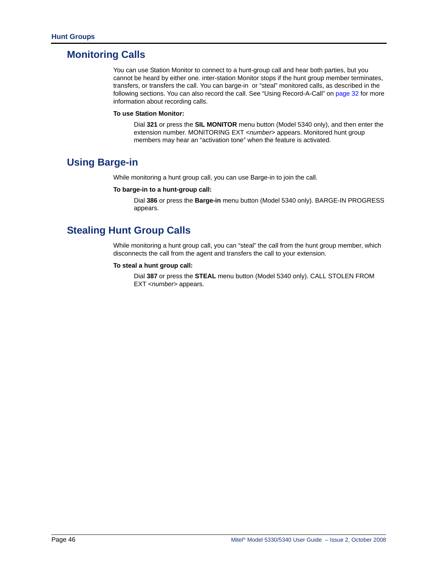### **Monitoring Calls**

<span id="page-59-1"></span>You can use Station Monitor to connect to a hunt-group call and hear both parties, but you cannot be heard by either one. inter-station Monitor stops if the hunt group member terminates, transfers, or transfers the call. You can barge-in or "steal" monitored calls, as described in the following sections. You can also record the call. See ["Using Record-A-Call" on page 32](#page-45-0) for more information about recording calls.

#### **To use Station Monitor:**

Dial **321** or press the **SIL MONITOR** menu button (Model 5340 only), and then enter the extension number. MONITORING EXT <*number*> appears. Monitored hunt group members may hear an "activation tone" when the feature is activated.

### **Using Barge-in**

<span id="page-59-0"></span>While monitoring a hunt group call, you can use Barge-in to join the call.

#### **To barge-in to a hunt-group call:**

Dial **386** or press the **Barge-in** menu button (Model 5340 only). BARGE-IN PROGRESS appears.

### **Stealing Hunt Group Calls**

<span id="page-59-2"></span>While monitoring a hunt group call, you can "steal" the call from the hunt group member, which disconnects the call from the agent and transfers the call to your extension.

#### **To steal a hunt group call:**

Dial **387** or press the **STEAL** menu button (Model 5340 only). CALL STOLEN FROM EXT <*number*> appears.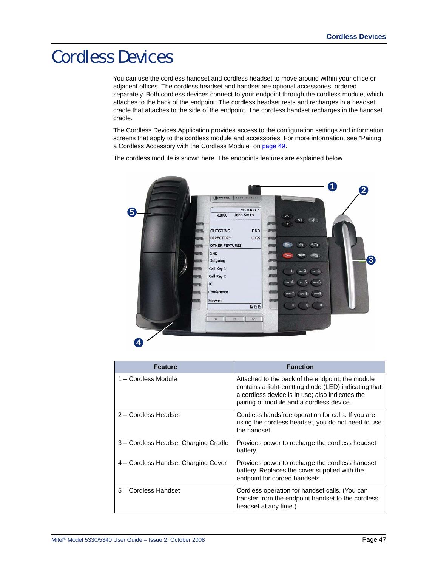# Cordless Devices

You can use the cordless handset and cordless headset to move around within your office or adjacent offices. The cordless headset and handset are optional accessories, ordered separately. Both cordless devices connect to your endpoint through the cordless module, which attaches to the back of the endpoint. The cordless headset rests and recharges in a headset cradle that attaches to the side of the endpoint. The cordless handset recharges in the handset cradle.

The Cordless Devices Application provides access to the configuration settings and information screens that apply to the cordless module and accessories. For more information, see "Pairing a Cordless Accessory with the Cordless Module" on page 49.

The cordless module is shown here. The endpoints features are explained below.



| <b>Feature</b>                       | <b>Function</b>                                                                                                                                                                                          |
|--------------------------------------|----------------------------------------------------------------------------------------------------------------------------------------------------------------------------------------------------------|
| 1 – Cordless Module                  | Attached to the back of the endpoint, the module<br>contains a light-emitting diode (LED) indicating that<br>a cordless device is in use; also indicates the<br>pairing of module and a cordless device. |
| 2 - Cordless Headset                 | Cordless handsfree operation for calls. If you are<br>using the cordless headset, you do not need to use<br>the handset.                                                                                 |
| 3 – Cordless Headset Charging Cradle | Provides power to recharge the cordless headset<br>battery.                                                                                                                                              |
| 4 – Cordless Handset Charging Cover  | Provides power to recharge the cordless handset<br>battery. Replaces the cover supplied with the<br>endpoint for corded handsets.                                                                        |
| 5 - Cordless Handset                 | Cordless operation for handset calls. (You can<br>transfer from the endpoint handset to the cordless<br>headset at any time.)                                                                            |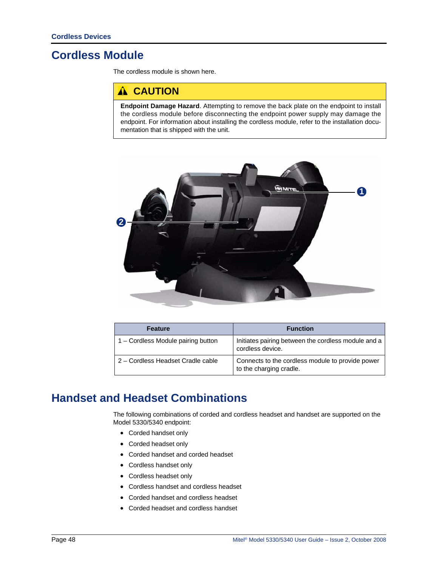# <span id="page-61-0"></span>**Cordless Module**

The cordless module is shown here.

### **A** CAUTION

**Endpoint Damage Hazard**. Attempting to remove the back plate on the endpoint to install the cordless module before disconnecting the endpoint power supply may damage the endpoint. For information about installing the cordless module, refer to the installation documentation that is shipped with the unit.



| <b>Feature</b>                     | <b>Function</b>                                                             |
|------------------------------------|-----------------------------------------------------------------------------|
| 1 – Cordless Module pairing button | Initiates pairing between the cordless module and a<br>cordless device.     |
| 2 – Cordless Headset Cradle cable  | Connects to the cordless module to provide power<br>to the charging cradle. |

# **Handset and Headset Combinations**

The following combinations of corded and cordless headset and handset are supported on the Model 5330/5340 endpoint:

- Corded handset only
- Corded headset only
- Corded handset and corded headset
- Cordless handset only
- Cordless headset only
- Cordless handset and cordless headset
- Corded handset and cordless headset
- Corded headset and cordless handset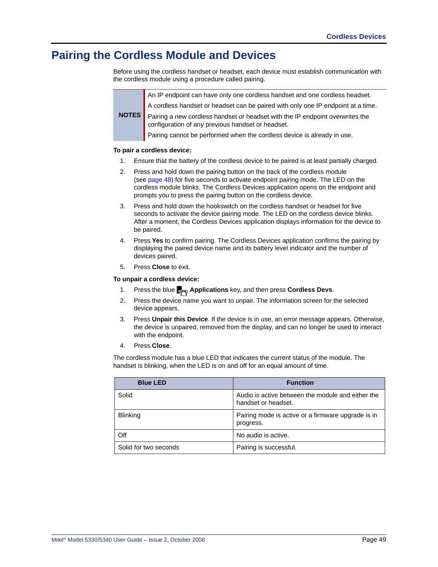# <span id="page-62-0"></span>**Pairing the Cordless Module and Devices**

Before using the cordless handset or headset, each device must establish communication with the cordless module using a procedure called pairing.

> An IP endpoint can have only one cordless handset and one cordless headset. A cordless handset or headset can be paired with only one IP endpoint at a time.

**NOTES** Pairing a new cordless handset or headset with the IP endpoint overwrites the configuration of any previous handset or headset.

Pairing cannot be performed when the cordless device is already in use.

#### **To pair a cordless device:**

- 1. Ensure that the battery of the cordless device to be paired is at least partially charged.
- 2. Press and hold down the pairing button on the back of the cordless module (see [page 48\)](#page-61-0) for five seconds to activate endpoint pairing mode. The LED on the cordless module blinks. The Cordless Devices application opens on the endpoint and prompts you to press the pairing button on the cordless device.
- 3. Press and hold down the hookswitch on the cordless handset or headset for five seconds to activate the device pairing mode. The LED on the cordless device blinks. After a moment, the Cordless Devices application displays information for the device to be paired.
- 4. Press **Yes** to confirm pairing. The Cordless Devices application confirms the pairing by displaying the paired device name and its battery level indicator and the number of devices paired.
- 5. Press **Close** to exit.

#### **To unpair a cordless device:**

- 1. Press the blue **Applications** key, and then press **Cordless Devs**.
- 2. Press the device name you want to unpair. The information screen for the selected device appears.
- 3. Press **Unpair this Device**. If the device is in use, an error message appears. Otherwise, the device is unpaired, removed from the display, and can no longer be used to interact with the endpoint.
- 4. Press **Close**.

The cordless module has a blue LED that indicates the current status of the module. The handset is blinking, when the LED is on and off for an equal amount of time.

| <b>Blue LED</b>       | <b>Function</b>                                                          |
|-----------------------|--------------------------------------------------------------------------|
| Solid                 | Audio is active between the module and either the<br>handset or headset. |
| <b>Blinking</b>       | Pairing mode is active or a firmware upgrade is in<br>progress.          |
| Off                   | No audio is active.                                                      |
| Solid for two seconds | Pairing is successful.                                                   |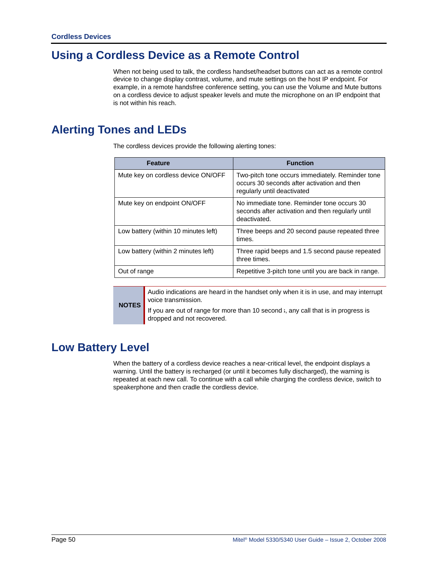# **Using a Cordless Device as a Remote Control**

When not being used to talk, the cordless handset/headset buttons can act as a remote control device to change display contrast, volume, and mute settings on the host IP endpoint. For example, in a remote handsfree conference setting, you can use the Volume and Mute buttons on a cordless device to adjust speaker levels and mute the microphone on an IP endpoint that is not within his reach.

# <span id="page-63-0"></span>**Alerting Tones and LEDs**

The cordless devices provide the following alerting tones:

| <b>Feature</b>                       | <b>Function</b>                                                                                                                |
|--------------------------------------|--------------------------------------------------------------------------------------------------------------------------------|
| Mute key on cordless device ON/OFF   | Two-pitch tone occurs immediately. Reminder tone<br>occurs 30 seconds after activation and then<br>regularly until deactivated |
| Mute key on endpoint ON/OFF          | No immediate tone. Reminder tone occurs 30<br>seconds after activation and then regularly until<br>deactivated.                |
| Low battery (within 10 minutes left) | Three beeps and 20 second pause repeated three<br>times.                                                                       |
| Low battery (within 2 minutes left)  | Three rapid beeps and 1.5 second pause repeated<br>three times.                                                                |
| Out of range                         | Repetitive 3-pitch tone until you are back in range.                                                                           |

**NOTES**

Audio indications are heard in the handset only when it is in use, and may interrupt voice transmission.

If you are out of range for more than 10 second i, any call that is in progress is dropped and not recovered.

# **Low Battery Level**

When the battery of a cordless device reaches a near-critical level, the endpoint displays a warning. Until the battery is recharged (or until it becomes fully discharged), the warning is repeated at each new call. To continue with a call while charging the cordless device, switch to speakerphone and then cradle the cordless device.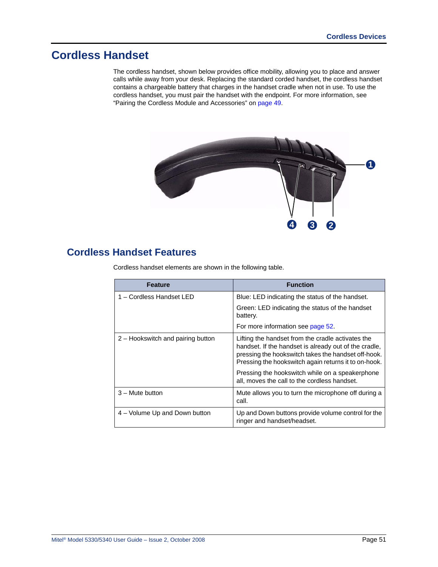# **Cordless Handset**

The cordless handset, shown below provides office mobility, allowing you to place and answer calls while away from your desk. Replacing the standard corded handset, the cordless handset contains a chargeable battery that charges in the handset cradle when not in use. To use the cordless handset, you must pair the handset with the endpoint. For more information, see "Pairing the Cordless Module and Accessories" on page 49.



## **Cordless Handset Features**

Cordless handset elements are shown in the following table.

| <b>Feature</b>                    | <b>Function</b>                                                                                                                                                                                                                                                                                                              |
|-----------------------------------|------------------------------------------------------------------------------------------------------------------------------------------------------------------------------------------------------------------------------------------------------------------------------------------------------------------------------|
| 1 - Cordless Handset LED          | Blue: LED indicating the status of the handset.                                                                                                                                                                                                                                                                              |
|                                   | Green: LED indicating the status of the handset<br>battery.                                                                                                                                                                                                                                                                  |
|                                   | For more information see page 52.                                                                                                                                                                                                                                                                                            |
| 2 – Hookswitch and pairing button | Lifting the handset from the cradle activates the<br>handset. If the handset is already out of the cradle,<br>pressing the hookswitch takes the handset off-hook.<br>Pressing the hookswitch again returns it to on-hook.<br>Pressing the hookswitch while on a speakerphone<br>all, moves the call to the cordless handset. |
| 3 – Mute button                   | Mute allows you to turn the microphone off during a<br>call.                                                                                                                                                                                                                                                                 |
| 4 - Volume Up and Down button     | Up and Down buttons provide volume control for the<br>ringer and handset/headset.                                                                                                                                                                                                                                            |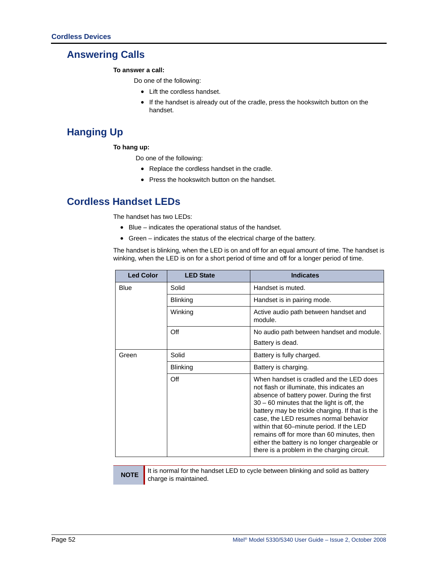### **Answering Calls**

**To answer a call:** 

Do one of the following:

- Lift the cordless handset.
- If the handset is already out of the cradle, press the hookswitch button on the handset.

# **Hanging Up**

#### **To hang up:**

Do one of the following:

- Replace the cordless handset in the cradle.
- Press the hookswitch button on the handset.

### <span id="page-65-0"></span>**Cordless Handset LEDs**

The handset has two LEDs:

- Blue indicates the operational status of the handset.
- Green indicates the status of the electrical charge of the battery.

The handset is blinking, when the LED is on and off for an equal amount of time. The handset is winking, when the LED is on for a short period of time and off for a longer period of time.

| <b>Led Color</b> | <b>LED State</b> | <b>Indicates</b>                                                                                                                                                                                                                                                                                                                                                                                                                                                           |
|------------------|------------------|----------------------------------------------------------------------------------------------------------------------------------------------------------------------------------------------------------------------------------------------------------------------------------------------------------------------------------------------------------------------------------------------------------------------------------------------------------------------------|
| <b>Blue</b>      | Solid            | Handset is muted.                                                                                                                                                                                                                                                                                                                                                                                                                                                          |
|                  | <b>Blinking</b>  | Handset is in pairing mode.                                                                                                                                                                                                                                                                                                                                                                                                                                                |
|                  | Winking          | Active audio path between handset and<br>module.                                                                                                                                                                                                                                                                                                                                                                                                                           |
|                  | Off              | No audio path between handset and module.                                                                                                                                                                                                                                                                                                                                                                                                                                  |
|                  |                  | Battery is dead.                                                                                                                                                                                                                                                                                                                                                                                                                                                           |
| Green            | Solid            | Battery is fully charged.                                                                                                                                                                                                                                                                                                                                                                                                                                                  |
|                  | <b>Blinking</b>  | Battery is charging.                                                                                                                                                                                                                                                                                                                                                                                                                                                       |
|                  | Off              | When handset is cradled and the LED does<br>not flash or illuminate, this indicates an<br>absence of battery power. During the first<br>$30 - 60$ minutes that the light is off, the<br>battery may be trickle charging. If that is the<br>case, the LED resumes normal behavior<br>within that 60–minute period. If the LED<br>remains off for more than 60 minutes, then<br>either the battery is no longer chargeable or<br>there is a problem in the charging circuit. |

**NOTE** It is normal for the handset LED to cycle between blinking and solid as battery charge is maintained.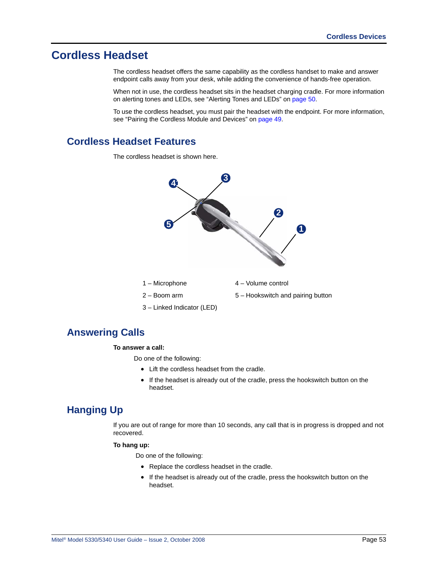# **Cordless Headset**

The cordless headset offers the same capability as the cordless handset to make and answer endpoint calls away from your desk, while adding the convenience of hands-free operation.

When not in use, the cordless headset sits in the headset charging cradle. For more information on alerting tones and LEDs, see ["Alerting Tones and LEDs" on page 50](#page-63-0).

To use the cordless headset, you must pair the headset with the endpoint. For more information, see ["Pairing the Cordless Module and Devices" on page 49.](#page-62-0)

### **Cordless Headset Features**

The cordless headset is shown here.



### **Answering Calls**

#### **To answer a call:**

Do one of the following:

- Lift the cordless headset from the cradle.
- If the headset is already out of the cradle, press the hookswitch button on the headset.

### **Hanging Up**

If you are out of range for more than 10 seconds, any call that is in progress is dropped and not recovered.

#### **To hang up:**

Do one of the following:

- Replace the cordless headset in the cradle.
- If the headset is already out of the cradle, press the hookswitch button on the headset.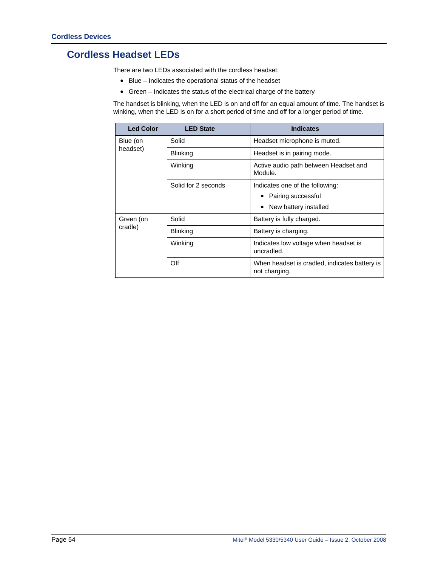# **Cordless Headset LEDs**

There are two LEDs associated with the cordless headset:

- Blue Indicates the operational status of the headset
- Green Indicates the status of the electrical charge of the battery

The handset is blinking, when the LED is on and off for an equal amount of time. The handset is winking, when the LED is on for a short period of time and off for a longer period of time.

| <b>Led Color</b>     | <b>LED State</b>    | <b>Indicates</b>                                               |
|----------------------|---------------------|----------------------------------------------------------------|
| Blue (on<br>headset) | Solid               | Headset microphone is muted.                                   |
|                      | Blinking            | Headset is in pairing mode.                                    |
|                      | Winking             | Active audio path between Headset and<br>Module.               |
|                      | Solid for 2 seconds | Indicates one of the following:                                |
|                      |                     | Pairing successful                                             |
|                      |                     | New battery installed                                          |
| Green (on<br>cradle) | Solid               | Battery is fully charged.                                      |
|                      | Blinking            | Battery is charging.                                           |
|                      | Winking             | Indicates low voltage when headset is<br>uncradled.            |
|                      | Off                 | When headset is cradled, indicates battery is<br>not charging. |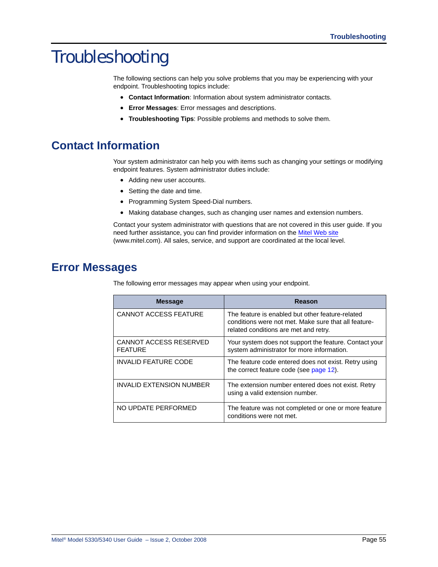# Troubleshooting

The following sections can help you solve problems that you may be experiencing with your endpoint. Troubleshooting topics include:

- **Contact Information**: Information about system administrator contacts.
- **Error Messages**: Error messages and descriptions.
- **Troubleshooting Tips**: Possible problems and methods to solve them.

# **Contact Information**

<span id="page-68-0"></span>Your system administrator can help you with items such as changing your settings or modifying endpoint features. System administrator duties include:

- Adding new user accounts.
- Setting the date and time.
- Programming System Speed-Dial numbers.
- Making database changes, such as changing user names and extension numbers.

Contact your system administrator with questions that are not covered in this user guide. If you need further assistance, you can find provider information on the [Mitel Web site](http://www.mitel.com) [\(www.mitel.com\). All sales, service, and support are coordinated at the local level.](http://www.mitel.com)

# **Error Messages**

<span id="page-68-1"></span>The following error messages may appear when using your endpoint.

| <b>Message</b>                           | Reason                                                                                                                                            |
|------------------------------------------|---------------------------------------------------------------------------------------------------------------------------------------------------|
| <b>CANNOT ACCESS FEATURE</b>             | The feature is enabled but other feature-related<br>conditions were not met. Make sure that all feature-<br>related conditions are met and retry. |
| CANNOT ACCESS RESERVED<br><b>FEATURE</b> | Your system does not support the feature. Contact your<br>system administrator for more information.                                              |
| <b>INVALID FEATURE CODE</b>              | The feature code entered does not exist. Retry using<br>the correct feature code (see page 12).                                                   |
| <b>INVALID EXTENSION NUMBER</b>          | The extension number entered does not exist. Retry<br>using a valid extension number.                                                             |
| NO UPDATE PERFORMED                      | The feature was not completed or one or more feature<br>conditions were not met.                                                                  |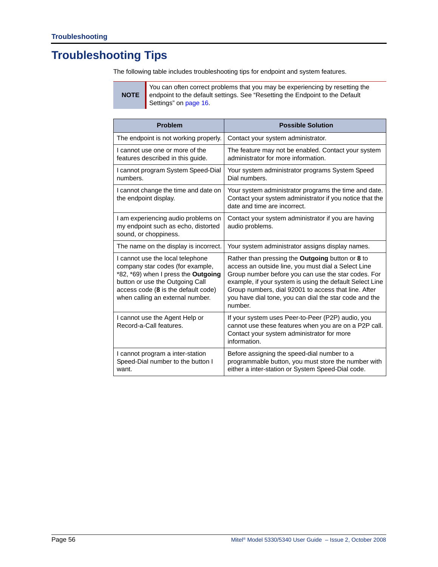# **Troubleshooting Tips**

The following table includes troubleshooting tips for endpoint and system features.

**NOTE** You can often correct problems that you may be experiencing by resetting the endpoint to the default settings. See ["Resetting the Endpoint to the Default](#page-29-0)  [Settings" on page 16.](#page-29-0)

<span id="page-69-1"></span><span id="page-69-0"></span>

| <b>Problem</b>                                                                                                                                                                                                            | <b>Possible Solution</b>                                                                                                                                                                                                                                                                                                                                       |
|---------------------------------------------------------------------------------------------------------------------------------------------------------------------------------------------------------------------------|----------------------------------------------------------------------------------------------------------------------------------------------------------------------------------------------------------------------------------------------------------------------------------------------------------------------------------------------------------------|
| The endpoint is not working properly.                                                                                                                                                                                     | Contact your system administrator.                                                                                                                                                                                                                                                                                                                             |
| I cannot use one or more of the<br>features described in this guide.                                                                                                                                                      | The feature may not be enabled. Contact your system<br>administrator for more information.                                                                                                                                                                                                                                                                     |
| I cannot program System Speed-Dial<br>numbers.                                                                                                                                                                            | Your system administrator programs System Speed<br>Dial numbers.                                                                                                                                                                                                                                                                                               |
| I cannot change the time and date on<br>the endpoint display.                                                                                                                                                             | Your system administrator programs the time and date.<br>Contact your system administrator if you notice that the<br>date and time are incorrect.                                                                                                                                                                                                              |
| I am experiencing audio problems on<br>my endpoint such as echo, distorted<br>sound, or choppiness.                                                                                                                       | Contact your system administrator if you are having<br>audio problems.                                                                                                                                                                                                                                                                                         |
| The name on the display is incorrect.                                                                                                                                                                                     | Your system administrator assigns display names.                                                                                                                                                                                                                                                                                                               |
| I cannot use the local telephone<br>company star codes (for example,<br>*82, *69) when I press the Outgoing<br>button or use the Outgoing Call<br>access code (8 is the default code)<br>when calling an external number. | Rather than pressing the <b>Outgoing</b> button or 8 to<br>access an outside line, you must dial a Select Line<br>Group number before you can use the star codes. For<br>example, if your system is using the default Select Line<br>Group numbers, dial 92001 to access that line. After<br>you have dial tone, you can dial the star code and the<br>number. |
| I cannot use the Agent Help or<br>Record-a-Call features.                                                                                                                                                                 | If your system uses Peer-to-Peer (P2P) audio, you<br>cannot use these features when you are on a P2P call.<br>Contact your system administrator for more<br>information.                                                                                                                                                                                       |
| I cannot program a inter-station<br>Speed-Dial number to the button I<br>want.                                                                                                                                            | Before assigning the speed-dial number to a<br>programmable button, you must store the number with<br>either a inter-station or System Speed-Dial code.                                                                                                                                                                                                        |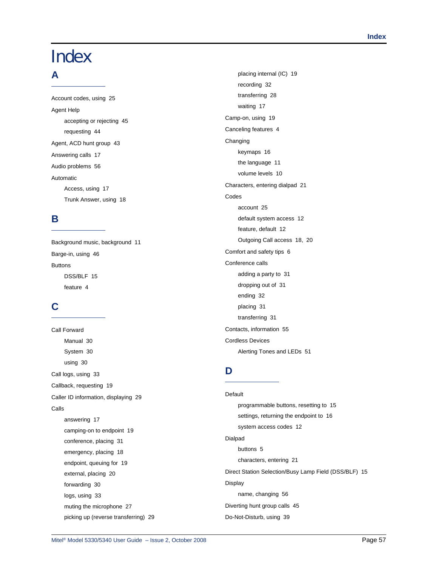# **Index**

### **A**

[Account codes, using 25](#page-38-1) Agent Help [accepting or rejecting 45](#page-58-1) [requesting 44](#page-57-0) [Agent, ACD hunt group 43](#page-56-0) [Answering calls 17](#page-30-0) [Audio problems 56](#page-69-0) Automatic [Access, using 17](#page-30-1) [Trunk Answer, using 18](#page-31-0)

### **B**

[Background music, background 11](#page-24-0) [Barge-in, using 46](#page-59-0) Buttons [DSS/BLF 15](#page-28-0) [feature 4](#page-17-0)

# **C**

Call Forward [Manual 30](#page-43-2) [System 30](#page-43-3) [using 30](#page-43-2) [Call logs, using 33](#page-46-0) [Callback, requesting 19](#page-32-0) [Caller ID information, displaying 29](#page-42-0) Calls [answering 17](#page-30-0) [camping-on to endpoint 19](#page-32-1) [conference, placing 31](#page-44-1) [emergency, placing 18](#page-31-1) [endpoint, queuing for 19](#page-32-0) [external, placing 20](#page-33-0) [forwarding 30](#page-43-2) [logs, using 33](#page-46-0) [muting the microphone 27](#page-40-0) [picking up \(reverse transferring\) 29](#page-42-1)

[placing internal \(IC\) 19](#page-32-2) [recording 32](#page-45-1) [transferring 28](#page-41-0) [waiting 17](#page-30-2) [Camp-on, using 19](#page-32-1) [Canceling features 4](#page-17-1) Changing [keymaps 16](#page-29-1) [the language 11](#page-24-1) [volume levels 10](#page-23-0) [Characters, entering dialpad 21](#page-34-1) Codes [account 25](#page-38-1) [default system access 12](#page-25-1) [feature, default 12](#page-25-2) [Outgoing Call access 18,](#page-31-2) [20](#page-33-1) [Comfort and safety tips 6](#page-19-0) Conference calls [adding a party to 31](#page-44-2) [dropping out of 31](#page-44-3) [ending 32](#page-45-2) [placing 31](#page-44-1) [transferring 31](#page-44-4) [Contacts, information 55](#page-68-0) Cordless Devices Alerting Tones and LEDs 51

## **D**

**Default** [programmable buttons, resetting to 15](#page-28-1) [settings, returning the endpoint to 16](#page-29-2) [system access codes 12](#page-25-1) Dialpad [buttons 5](#page-18-0) [characters, entering 21](#page-34-1) [Direct Station Selection/Busy Lamp Field \(DSS/BLF\) 15](#page-28-0) Display [name, changing 56](#page-69-1) [Diverting hunt group calls 45](#page-58-2) [Do-Not-Disturb, using 39](#page-52-2)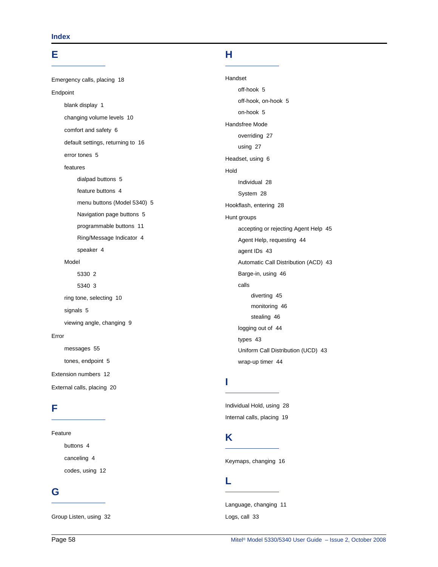### **E**

[Emergency calls, placing 18](#page-31-1) Endpoint [blank display 1](#page-14-0) [changing volume levels 10](#page-23-0) [comfort and safety 6](#page-19-0) [default settings, returning to 16](#page-29-2) [error tones 5](#page-18-1) features [dialpad buttons 5](#page-18-0) [feature buttons 4](#page-17-0) [menu buttons \(Model 5340\) 5](#page-18-2) [Navigation page buttons 5](#page-18-3) [programmable buttons 11](#page-24-2) [Ring/Message Indicator 4](#page-17-2) [speaker 4](#page-17-3) Model [5330 2](#page-15-0) [5340 3](#page-16-0) [ring tone, selecting 10](#page-23-1) [signals 5](#page-18-4) [viewing angle, changing 9](#page-22-0) Error [messages 55](#page-68-1) [tones, endpoint 5](#page-18-1) [Extension numbers 12](#page-25-1)

### **F**

#### Feature

[buttons 4](#page-17-0) [canceling 4](#page-17-1) [codes, using 12](#page-25-2)

[External calls, placing 20](#page-33-0)

### **G**

[Group Listen, using 32](#page-45-3)

### **H**

Handset [off-hook 5](#page-18-5) [off-hook, on-hook 5](#page-18-6) [on-hook 5](#page-18-5) Handsfree Mode [overriding 27](#page-40-1) [using 27](#page-40-2) [Headset, using 6](#page-19-1) Hold [Individual 28](#page-41-1) [System 28](#page-41-2) [Hookflash, entering 28](#page-41-3) Hunt groups [accepting or rejecting Agent Help 45](#page-58-1) [Agent Help, requesting 44](#page-57-0) [agent IDs 43](#page-56-0) [Automatic Call Distribution \(ACD\) 43](#page-56-1) [Barge-in, using 46](#page-59-0) calls [diverting 45](#page-58-2) [monitoring 46](#page-59-1) [stealing 46](#page-59-2) [logging out of 44](#page-57-1) [types 43](#page-56-2) [Uniform Call Distribution \(UCD\) 43](#page-56-1) [wrap-up timer 44](#page-57-2)

### **I**

[Individual Hold, using 28](#page-41-1) [Internal calls, placing 19](#page-32-2)

## **K**

[Keymaps, changing 16](#page-29-1)

### **L**

[Language, changing 11](#page-24-1) [Logs, call 33](#page-46-0)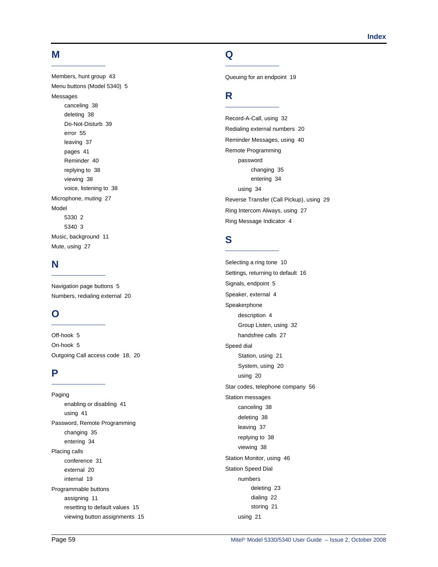#### **M**

[Members, hunt group 43](#page-56-0) [Menu buttons \(Model 5340\) 5](#page-18-0) Messages [canceling 38](#page-51-0) [deleting 38](#page-51-1) [Do-Not-Disturb 39](#page-52-0) [error 55](#page-68-0) [leaving 37](#page-50-0) [pages 41](#page-54-0) [Reminder 40](#page-53-0) [replying to 38](#page-51-2) [viewing 38](#page-51-2) [voice, listening to 38](#page-51-2) [Microphone, muting 27](#page-40-0) Model [5330 2](#page-15-0) [5340 3](#page-16-0) [Music, background 11](#page-24-0) [Mute, using 27](#page-40-0)

### **N**

[Navigation page buttons 5](#page-18-1) [Numbers, redialing external 20](#page-33-0)

## **O**

[Off-hook 5](#page-18-2) [On-hook 5](#page-18-2) [Outgoing Call access code 18,](#page-31-0) [20](#page-33-1)

### **P**

Paging [enabling or disabling 41](#page-54-1) [using 41](#page-54-0) Password, Remote Programming [changing 35](#page-48-0) [entering 34](#page-47-0) Placing calls [conference 31](#page-44-0) [external 20](#page-33-2) [internal 19](#page-32-0) Programmable buttons [assigning 11](#page-24-1) [resetting to default values 15](#page-28-0) [viewing button assignments 15](#page-28-1)

## **Q**

[Queuing for an endpoint 19](#page-32-1)

# **R**

[Record-A-Call, using 32](#page-45-0) [Redialing external numbers 20](#page-33-0) [Reminder Messages, using 40](#page-53-0) Remote Programming password [changing 35](#page-48-0) [entering 34](#page-47-0) [using 34](#page-47-1) [Reverse Transfer \(Call Pickup\), using 29](#page-42-0) [Ring Intercom Always, using 27](#page-40-1) [Ring Message Indicator 4](#page-17-0)

# **S**

[Selecting a ring tone 10](#page-23-0) [Settings, returning to default 16](#page-29-0) [Signals, endpoint 5](#page-18-3) [Speaker, external 4](#page-17-1) Speakerphone [description 4](#page-17-1) [Group Listen, using 32](#page-45-1) [handsfree calls 27](#page-40-2) Speed dial [Station, using 21](#page-34-0) [System, using 20](#page-33-3) [using 20](#page-33-4) [Star codes, telephone company 56](#page-69-0) Station messages [canceling 38](#page-51-0) [deleting 38](#page-51-1) [leaving 37](#page-50-0) [replying to 38](#page-51-2) [viewing 38](#page-51-2) [Station Monitor, using 46](#page-59-0) Station Speed Dial numbers [deleting 23](#page-36-0) [dialing 22](#page-35-0) [storing 21](#page-34-1) [using 21](#page-34-2)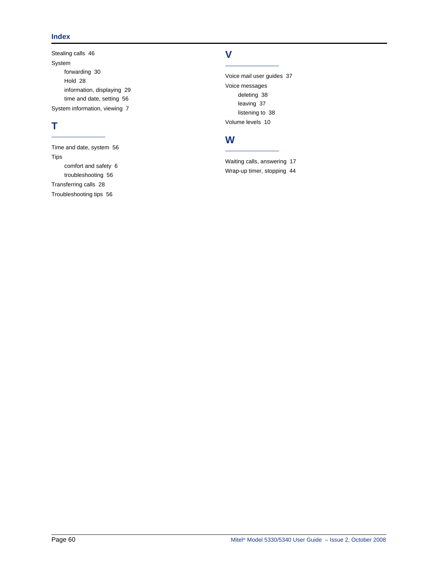#### **Index**

[Stealing calls 46](#page-59-1) System [forwarding 30](#page-43-0) [Hold 28](#page-41-0) [information, displaying 29](#page-42-1) [time and date, setting 56](#page-69-1) [System information, viewing 7](#page-20-0)

# **T**

[Time and date, system 56](#page-69-1) Tips [comfort and safety 6](#page-19-0) [troubleshooting 56](#page-69-2) [Transferring calls 28](#page-41-1) [Troubleshooting tips 56](#page-69-2)

## **V**

[Voice mail user guides 37](#page-50-1) Voice messages [deleting 38](#page-51-1) [leaving 37](#page-50-0) [listening to 38](#page-51-2) [Volume levels 10](#page-23-1)

# **W**

[Waiting calls, answering 17](#page-30-0) [Wrap-up timer, stopping 44](#page-57-0)